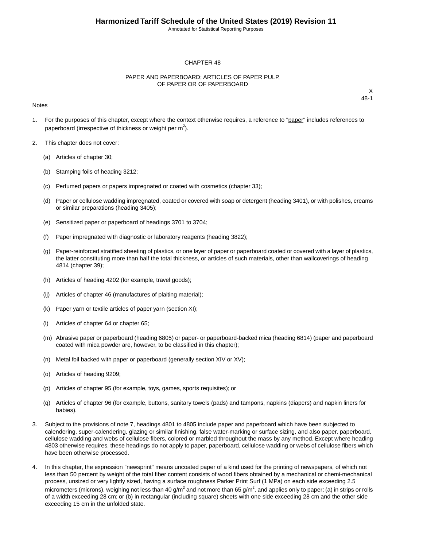Annotated for Statistical Reporting Purposes

#### CHAPTER 48

#### PAPER AND PAPERBOARD; ARTICLES OF PAPER PULP, OF PAPER OR OF PAPERBOARD

#### Notes

- 1. For the purposes of this chapter, except where the context otherwise requires, a reference to "paper" includes references to paperboard (irrespective of thickness or weight per  $m^2$ ).
- 2. This chapter does not cover:
	- (a) Articles of chapter 30;
	- (b) Stamping foils of heading 3212;
	- (c) Perfumed papers or papers impregnated or coated with cosmetics (chapter 33);
	- (d) Paper or cellulose wadding impregnated, coated or covered with soap or detergent (heading 3401), or with polishes, creams or similar preparations (heading 3405);
	- (e) Sensitized paper or paperboard of headings 3701 to 3704;
	- (f) Paper impregnated with diagnostic or laboratory reagents (heading 3822);
	- (g) Paper-reinforced stratified sheeting of plastics, or one layer of paper or paperboard coated or covered with a layer of plastics, the latter constituting more than half the total thickness, or articles of such materials, other than wallcoverings of heading 4814 (chapter 39);
	- (h) Articles of heading 4202 (for example, travel goods);
	- (ij) Articles of chapter 46 (manufactures of plaiting material);
	- (k) Paper yarn or textile articles of paper yarn (section XI);
	- (l) Articles of chapter 64 or chapter 65;
	- (m) Abrasive paper or paperboard (heading 6805) or paper- or paperboard-backed mica (heading 6814) (paper and paperboard coated with mica powder are, however, to be classified in this chapter);
	- (n) Metal foil backed with paper or paperboard (generally section XIV or XV);
	- (o) Articles of heading 9209;
	- (p) Articles of chapter 95 (for example, toys, games, sports requisites); or
	- (q) Articles of chapter 96 (for example, buttons, sanitary towels (pads) and tampons, napkins (diapers) and napkin liners for babies).
- 3. Subject to the provisions of note 7, headings 4801 to 4805 include paper and paperboard which have been subjected to calendering, super-calendering, glazing or similar finishing, false water-marking or surface sizing, and also paper, paperboard, cellulose wadding and webs of cellulose fibers, colored or marbled throughout the mass by any method. Except where heading 4803 otherwise requires, these headings do not apply to paper, paperboard, cellulose wadding or webs of cellulose fibers which have been otherwise processed.
- 4. In this chapter, the expression "newsprint" means uncoated paper of a kind used for the printing of newspapers, of which not less than 50 percent by weight of the total fiber content consists of wood fibers obtained by a mechanical or chemi-mechanical process, unsized or very lightly sized, having a surface roughness Parker Print Surf (1 MPa) on each side exceeding 2.5 micrometers (microns), weighing not less than 40 g/m<sup>2</sup> and not more than 65 g/m<sup>2</sup>, and applies only to paper: (a) in strips or rolls of a width exceeding 28 cm; or (b) in rectangular (including square) sheets with one side exceeding 28 cm and the other side exceeding 15 cm in the unfolded state.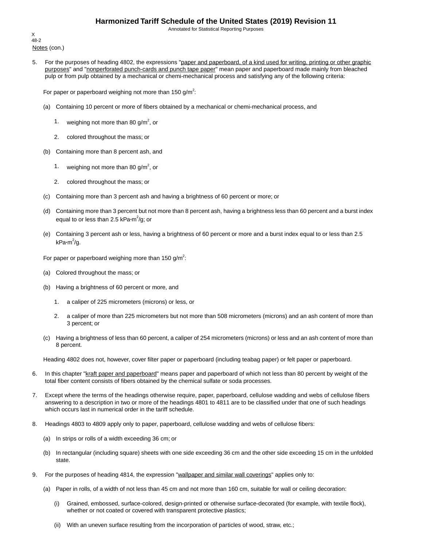Annotated for Statistical Reporting Purposes

Notes (con.) X 48-2

5. For the purposes of heading 4802, the expressions "paper and paperboard, of a kind used for writing, printing or other graphic purposes" and "nonperforated punch-cards and punch tape paper" mean paper and paperboard made mainly from bleached pulp or from pulp obtained by a mechanical or chemi-mechanical process and satisfying any of the following criteria:

For paper or paperboard weighing not more than 150 g/m<sup>2</sup>:

- (a) Containing 10 percent or more of fibers obtained by a mechanical or chemi-mechanical process, and
	- 1. weighing not more than 80 g/m<sup>2</sup>, or
	- 2. colored throughout the mass; or
- (b) Containing more than 8 percent ash, and
	- 1. weighing not more than 80 g/m<sup>2</sup>, or
	- 2. colored throughout the mass; or
- (c) Containing more than 3 percent ash and having a brightness of 60 percent or more; or
- (d) Containing more than 3 percent but not more than 8 percent ash, having a brightness less than 60 percent and a burst index equal to or less than 2.5 kPa**·**m 2 /g; or
- (e) Containing 3 percent ash or less, having a brightness of 60 percent or more and a burst index equal to or less than 2.5 kPa**·**m 2 /g.

For paper or paperboard weighing more than 150 g/m<sup>2</sup>:

- (a) Colored throughout the mass; or
- (b) Having a brightness of 60 percent or more, and
	- 1. a caliper of 225 micrometers (microns) or less, or
	- 2. a caliper of more than 225 micrometers but not more than 508 micrometers (microns) and an ash content of more than 3 percent; or
- (c) Having a brightness of less than 60 percent, a caliper of 254 micrometers (microns) or less and an ash content of more than 8 percent.

Heading 4802 does not, however, cover filter paper or paperboard (including teabag paper) or felt paper or paperboard.

- 6. In this chapter "kraft paper and paperboard" means paper and paperboard of which not less than 80 percent by weight of the total fiber content consists of fibers obtained by the chemical sulfate or soda processes.
- 7. Except where the terms of the headings otherwise require, paper, paperboard, cellulose wadding and webs of cellulose fibers answering to a description in two or more of the headings 4801 to 4811 are to be classified under that one of such headings which occurs last in numerical order in the tariff schedule.
- 8. Headings 4803 to 4809 apply only to paper, paperboard, cellulose wadding and webs of cellulose fibers:
	- (a) In strips or rolls of a width exceeding 36 cm; or
	- (b) In rectangular (including square) sheets with one side exceeding 36 cm and the other side exceeding 15 cm in the unfolded state.
- 9. For the purposes of heading 4814, the expression "wallpaper and similar wall coverings" applies only to:
	- (a) Paper in rolls, of a width of not less than 45 cm and not more than 160 cm, suitable for wall or ceiling decoration:
		- (i) Grained, embossed, surface-colored, design-printed or otherwise surface-decorated (for example, with textile flock), whether or not coated or covered with transparent protective plastics;
		- (ii) With an uneven surface resulting from the incorporation of particles of wood, straw, etc.;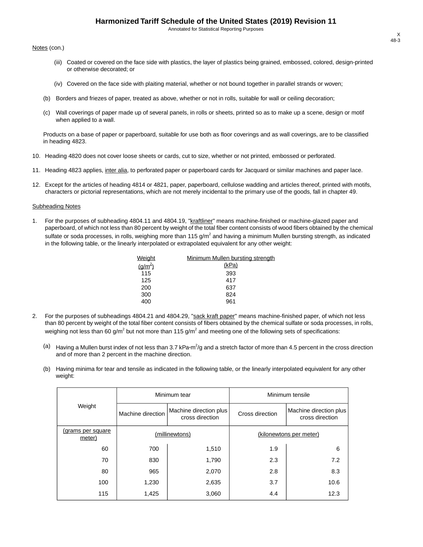Annotated for Statistical Reporting Purposes

Notes (con.)

- (iii) Coated or covered on the face side with plastics, the layer of plastics being grained, embossed, colored, design-printed or otherwise decorated; or
- (iv) Covered on the face side with plaiting material, whether or not bound together in parallel strands or woven;
- (b) Borders and friezes of paper, treated as above, whether or not in rolls, suitable for wall or ceiling decoration;
- (c) Wall coverings of paper made up of several panels, in rolls or sheets, printed so as to make up a scene, design or motif when applied to a wall.

Products on a base of paper or paperboard, suitable for use both as floor coverings and as wall coverings, are to be classified in heading 4823.

- 10. Heading 4820 does not cover loose sheets or cards, cut to size, whether or not printed, embossed or perforated.
- 11. Heading 4823 applies, inter alia, to perforated paper or paperboard cards for Jacquard or similar machines and paper lace.
- 12. Except for the articles of heading 4814 or 4821, paper, paperboard, cellulose wadding and articles thereof, printed with motifs, characters or pictorial representations, which are not merely incidental to the primary use of the goods, fall in chapter 49.

#### Subheading Notes

1. For the purposes of subheading 4804.11 and 4804.19, "kraftliner" means machine-finished or machine-glazed paper and paperboard, of which not less than 80 percent by weight of the total fiber content consists of wood fibers obtained by the chemical sulfate or soda processes, in rolls, weighing more than 115 g/m<sup>2</sup> and having a minimum Mullen bursting strength, as indicated in the following table, or the linearly interpolated or extrapolated equivalent for any other weight:

| Weight      | Minimum Mullen bursting strength |
|-------------|----------------------------------|
| $(g/m^{2})$ | (kPa)                            |
| 115         | 393                              |
| 125         | 417                              |
| 200         | 637                              |
| 300         | 824                              |
| 400         | 961                              |
|             |                                  |

- 2. For the purposes of subheadings 4804.21 and 4804.29, "sack kraft paper" means machine-finished paper, of which not less than 80 percent by weight of the total fiber content consists of fibers obtained by the chemical sulfate or soda processes, in rolls, weighing not less than 60 g/m<sup>2</sup> but not more than 115 g/m<sup>2</sup> and meeting one of the following sets of specifications:
	- <sup>(a)</sup> Having a Mullen burst index of not less than 3.7 kPa·m<sup>2</sup>/g and a stretch factor of more than 4.5 percent in the cross direction and of more than 2 percent in the machine direction.
	- (b) Having minima for tear and tensile as indicated in the following table, or the linearly interpolated equivalent for any other weight:

|                             |                   | Minimum tear                              | Minimum tensile |                                           |  |
|-----------------------------|-------------------|-------------------------------------------|-----------------|-------------------------------------------|--|
| Weight                      | Machine direction | Machine direction plus<br>cross direction | Cross direction | Machine direction plus<br>cross direction |  |
| (grams per square<br>meter) |                   | (millinewtons)                            |                 | (kilonewtons per meter)                   |  |
| 60                          | 700               | 1,510                                     | 1.9             | 6                                         |  |
| 70                          | 830               | 1,790                                     | 2.3             | 7.2                                       |  |
| 80                          | 965               | 2,070                                     | 2.8             | 8.3                                       |  |
| 100                         | 1,230             | 2,635                                     | 3.7             | 10.6                                      |  |
| 115                         | 1,425             | 3,060                                     | 4.4             | 12.3                                      |  |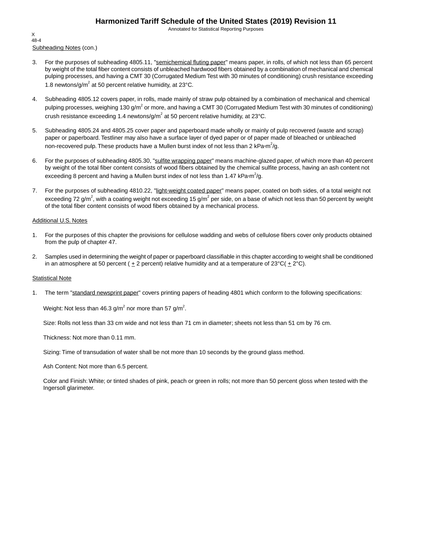Annotated for Statistical Reporting Purposes

Subheading Notes (con.) X 48-4

- 3. For the purposes of subheading 4805.11, "semichemical fluting paper" means paper, in rolls, of which not less than 65 percent by weight of the total fiber content consists of unbleached hardwood fibers obtained by a combination of mechanical and chemical pulping processes, and having a CMT 30 (Corrugated Medium Test with 30 minutes of conditioning) crush resistance exceeding 1.8 newtons/g/m<sup>2</sup> at 50 percent relative humidity, at 23 $^{\circ}$ C.
- 4. Subheading 4805.12 covers paper, in rolls, made mainly of straw pulp obtained by a combination of mechanical and chemical pulping processes, weighing 130 g/m<sup>2</sup> or more, and having a CMT 30 (Corrugated Medium Test with 30 minutes of conditioning) crush resistance exceeding 1.4 newtons/g/m<sup>2</sup> at 50 percent relative humidity, at 23°C.
- 5. Subheading 4805.24 and 4805.25 cover paper and paperboard made wholly or mainly of pulp recovered (waste and scrap) paper or paperboard. Testliner may also have a surface layer of dyed paper or of paper made of bleached or unbleached non-recovered pulp. These products have a Mullen burst index of not less than 2 kPa·m<sup>2</sup>/g.
- 6. For the purposes of subheading 4805.30, "sulfite wrapping paper" means machine-glazed paper, of which more than 40 percent by weight of the total fiber content consists of wood fibers obtained by the chemical sulfite process, having an ash content not exceeding 8 percent and having a Mullen burst index of not less than 1.47 kPa·m<sup>2</sup>/g.
- 7. For the purposes of subheading 4810.22, "light-weight coated paper" means paper, coated on both sides, of a total weight not exceeding 72 g/m<sup>2</sup>, with a coating weight not exceeding 15 g/m<sup>2</sup> per side, on a base of which not less than 50 percent by weight of the total fiber content consists of wood fibers obtained by a mechanical process.

#### Additional U.S. Notes

- 1. For the purposes of this chapter the provisions for cellulose wadding and webs of cellulose fibers cover only products obtained from the pulp of chapter 47.
- 2. Samples used in determining the weight of paper or paperboard classifiable in this chapter according to weight shall be conditioned in an atmosphere at 50 percent ( $\pm 2$  percent) relative humidity and at a temperature of 23°C( $\pm 2$ °C).

#### Statistical Note

1. The term "standard newsprint paper" covers printing papers of heading 4801 which conform to the following specifications:

Weight: Not less than 46.3 g/m $^2$  nor more than 57 g/m $^2$ .

Size: Rolls not less than 33 cm wide and not less than 71 cm in diameter; sheets not less than 51 cm by 76 cm.

Thickness: Not more than 0.11 mm.

Sizing: Time of transudation of water shall be not more than 10 seconds by the ground glass method.

Ash Content: Not more than 6.5 percent.

Color and Finish: White; or tinted shades of pink, peach or green in rolls; not more than 50 percent gloss when tested with the Ingersoll glarimeter.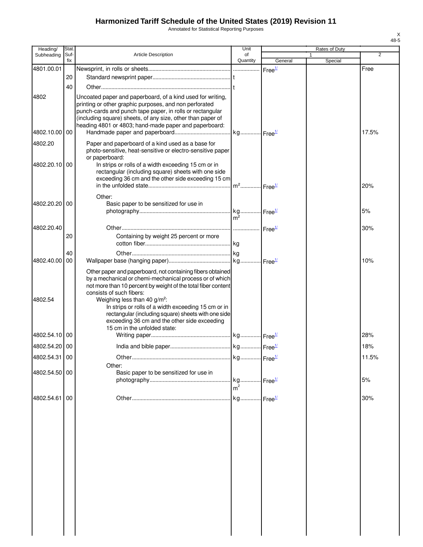Annotated for Statistical Reporting Purposes

| Heading/      | Stat.       |                                                                                                           | Unit           |                    | Rates of Duty |       |
|---------------|-------------|-----------------------------------------------------------------------------------------------------------|----------------|--------------------|---------------|-------|
| Subheading    | Suf-<br>fix | <b>Article Description</b>                                                                                | of<br>Quantity | General            | 1<br>Special  | 2     |
| 4801.00.01    |             |                                                                                                           |                | Free <sup>1/</sup> |               | Free  |
|               | 20          |                                                                                                           |                |                    |               |       |
|               | 40          |                                                                                                           |                |                    |               |       |
| 4802          |             | Uncoated paper and paperboard, of a kind used for writing,                                                |                |                    |               |       |
|               |             | printing or other graphic purposes, and non perforated                                                    |                |                    |               |       |
|               |             | punch-cards and punch tape paper, in rolls or rectangular                                                 |                |                    |               |       |
|               |             | (including square) sheets, of any size, other than paper of                                               |                |                    |               |       |
| 4802.10.00    | 00          | heading 4801 or 4803; hand-made paper and paperboard:                                                     |                |                    |               | 17.5% |
| 4802.20       |             | Paper and paperboard of a kind used as a base for                                                         |                |                    |               |       |
|               |             | photo-sensitive, heat-sensitive or electro-sensitive paper                                                |                |                    |               |       |
|               |             | or paperboard:                                                                                            |                |                    |               |       |
| 4802.20.10    | 00          | In strips or rolls of a width exceeding 15 cm or in                                                       |                |                    |               |       |
|               |             | rectangular (including square) sheets with one side<br>exceeding 36 cm and the other side exceeding 15 cm |                |                    |               |       |
|               |             |                                                                                                           |                |                    |               | 20%   |
|               |             | Other:                                                                                                    |                |                    |               |       |
| 4802.20.20    | 00          | Basic paper to be sensitized for use in                                                                   |                |                    |               |       |
|               |             |                                                                                                           |                |                    |               | 5%    |
|               |             |                                                                                                           | $m^2$          |                    |               |       |
| 4802.20.40    |             |                                                                                                           |                |                    |               | 30%   |
|               | 20          | Containing by weight 25 percent or more                                                                   |                |                    |               |       |
|               | 40          |                                                                                                           |                |                    |               |       |
| 4802.40.00    | 00          |                                                                                                           |                |                    |               | 10%   |
|               |             | Other paper and paperboard, not containing fibers obtained                                                |                |                    |               |       |
|               |             | by a mechanical or chemi-mechanical process or of which                                                   |                |                    |               |       |
|               |             | not more than 10 percent by weight of the total fiber content                                             |                |                    |               |       |
| 4802.54       |             | consists of such fibers:                                                                                  |                |                    |               |       |
|               |             | Weighing less than 40 g/m <sup>2</sup> :<br>In strips or rolls of a width exceeding 15 cm or in           |                |                    |               |       |
|               |             | rectangular (including square) sheets with one side                                                       |                |                    |               |       |
|               |             | exceeding 36 cm and the other side exceeding                                                              |                |                    |               |       |
| 4802.54.10    | 00          | 15 cm in the unfolded state:                                                                              |                |                    |               | 28%   |
| 4802.54.20 00 |             |                                                                                                           |                |                    |               | 18%   |
|               |             |                                                                                                           |                |                    |               |       |
| 4802.54.31 00 |             |                                                                                                           |                |                    |               | 11.5% |
| 4802.54.50 00 |             | Other:<br>Basic paper to be sensitized for use in                                                         |                |                    |               |       |
|               |             |                                                                                                           |                |                    |               | 5%    |
|               |             |                                                                                                           | m <sup>2</sup> |                    |               |       |
| 4802.54.61    | 00          |                                                                                                           |                |                    |               | 30%   |
|               |             |                                                                                                           |                |                    |               |       |
|               |             |                                                                                                           |                |                    |               |       |
|               |             |                                                                                                           |                |                    |               |       |
|               |             |                                                                                                           |                |                    |               |       |
|               |             |                                                                                                           |                |                    |               |       |
|               |             |                                                                                                           |                |                    |               |       |
|               |             |                                                                                                           |                |                    |               |       |
|               |             |                                                                                                           |                |                    |               |       |
|               |             |                                                                                                           |                |                    |               |       |
|               |             |                                                                                                           |                |                    |               |       |
|               |             |                                                                                                           |                |                    |               |       |
|               |             |                                                                                                           |                |                    |               |       |
|               |             |                                                                                                           |                |                    |               |       |
|               |             |                                                                                                           |                |                    |               |       |
|               |             |                                                                                                           |                |                    |               |       |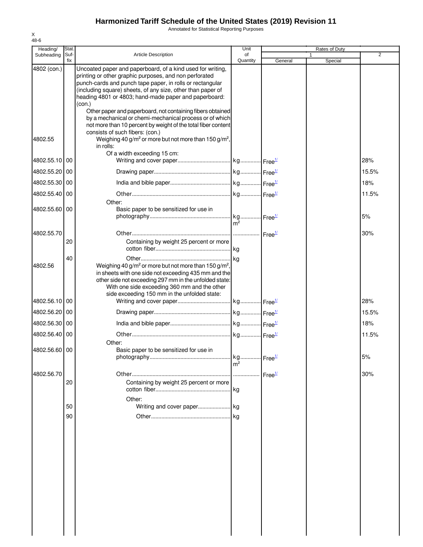Annotated for Statistical Reporting Purposes

| Heading/      | Stat.       |                                                                                                                                                                                                                                                                                                                                                                                   | Unit           |         | Rates of Duty |       |
|---------------|-------------|-----------------------------------------------------------------------------------------------------------------------------------------------------------------------------------------------------------------------------------------------------------------------------------------------------------------------------------------------------------------------------------|----------------|---------|---------------|-------|
| Subheading    | Suf-<br>fix | <b>Article Description</b>                                                                                                                                                                                                                                                                                                                                                        | of<br>Quantity | General | 1<br>Special  | 2     |
| 4802 (con.)   |             | Uncoated paper and paperboard, of a kind used for writing,<br>printing or other graphic purposes, and non perforated<br>punch-cards and punch tape paper, in rolls or rectangular<br>(including square) sheets, of any size, other than paper of<br>heading 4801 or 4803; hand-made paper and paperboard:<br>(con.)<br>Other paper and paperboard, not containing fibers obtained |                |         |               |       |
|               |             | by a mechanical or chemi-mechanical process or of which<br>not more than 10 percent by weight of the total fiber content                                                                                                                                                                                                                                                          |                |         |               |       |
| 4802.55       |             | consists of such fibers: (con.)<br>Weighing 40 g/m <sup>2</sup> or more but not more than 150 g/m <sup>2</sup> ,<br>in rolls:                                                                                                                                                                                                                                                     |                |         |               |       |
| 4802.55.10 00 |             | Of a width exceeding 15 cm:                                                                                                                                                                                                                                                                                                                                                       |                |         |               | 28%   |
| 4802.55.20    | 00          |                                                                                                                                                                                                                                                                                                                                                                                   |                |         |               | 15.5% |
| 4802.55.30 00 |             |                                                                                                                                                                                                                                                                                                                                                                                   |                |         |               | 18%   |
| 4802.55.40 00 |             |                                                                                                                                                                                                                                                                                                                                                                                   |                |         |               | 11.5% |
| 4802.55.60 00 |             | Other:<br>Basic paper to be sensitized for use in                                                                                                                                                                                                                                                                                                                                 |                |         |               | 5%    |
|               |             |                                                                                                                                                                                                                                                                                                                                                                                   | m <sup>2</sup> |         |               |       |
| 4802.55.70    | 20          | Containing by weight 25 percent or more                                                                                                                                                                                                                                                                                                                                           |                |         |               | 30%   |
|               | 40          |                                                                                                                                                                                                                                                                                                                                                                                   |                |         |               |       |
| 4802.56       |             | Weighing 40 g/m <sup>2</sup> or more but not more than 150 g/m <sup>2</sup> ,<br>in sheets with one side not exceeding 435 mm and the<br>other side not exceeding 297 mm in the unfolded state:<br>With one side exceeding 360 mm and the other<br>side exceeding 150 mm in the unfolded state:                                                                                   |                |         |               |       |
| 4802.56.10 00 |             |                                                                                                                                                                                                                                                                                                                                                                                   |                |         |               | 28%   |
| 4802.56.20 00 |             |                                                                                                                                                                                                                                                                                                                                                                                   |                |         |               | 15.5% |
| 4802.56.30 00 |             |                                                                                                                                                                                                                                                                                                                                                                                   |                |         |               | 18%   |
| 4802.56.40 00 |             |                                                                                                                                                                                                                                                                                                                                                                                   |                |         |               | 11.5% |
| 4802.56.60 00 |             | Other:<br>Basic paper to be sensitized for use in                                                                                                                                                                                                                                                                                                                                 |                |         |               | 5%    |
|               |             |                                                                                                                                                                                                                                                                                                                                                                                   | m <sup>2</sup> |         |               |       |
| 4802.56.70    | 20          | Containing by weight 25 percent or more                                                                                                                                                                                                                                                                                                                                           |                |         |               | 30%   |
|               | 50          | Other:                                                                                                                                                                                                                                                                                                                                                                            |                |         |               |       |
|               | 90          | Writing and cover paper kg                                                                                                                                                                                                                                                                                                                                                        |                |         |               |       |
|               |             |                                                                                                                                                                                                                                                                                                                                                                                   |                |         |               |       |
|               |             |                                                                                                                                                                                                                                                                                                                                                                                   |                |         |               |       |
|               |             |                                                                                                                                                                                                                                                                                                                                                                                   |                |         |               |       |
|               |             |                                                                                                                                                                                                                                                                                                                                                                                   |                |         |               |       |
|               |             |                                                                                                                                                                                                                                                                                                                                                                                   |                |         |               |       |
|               |             |                                                                                                                                                                                                                                                                                                                                                                                   |                |         |               |       |
|               |             |                                                                                                                                                                                                                                                                                                                                                                                   |                |         |               |       |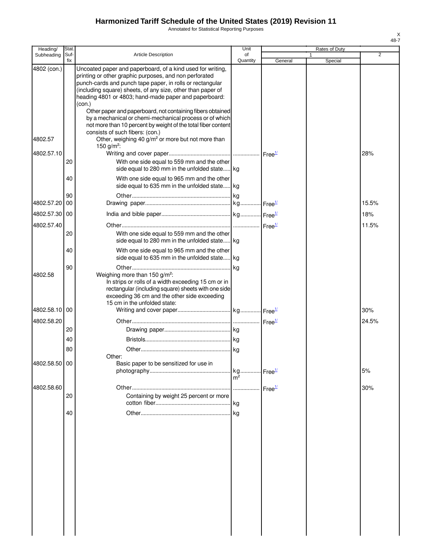Annotated for Statistical Reporting Purposes

| Heading/      | Stat.       |                                                                                                                                                                                                                                                                                                                                                                                   | Unit           |                    | Rates of Duty |                |
|---------------|-------------|-----------------------------------------------------------------------------------------------------------------------------------------------------------------------------------------------------------------------------------------------------------------------------------------------------------------------------------------------------------------------------------|----------------|--------------------|---------------|----------------|
| Subheading    | Suf-<br>fix | <b>Article Description</b>                                                                                                                                                                                                                                                                                                                                                        | of<br>Quantity | General            | Special       | $\overline{2}$ |
| 4802 (con.)   |             | Uncoated paper and paperboard, of a kind used for writing,<br>printing or other graphic purposes, and non perforated<br>punch-cards and punch tape paper, in rolls or rectangular<br>(including square) sheets, of any size, other than paper of<br>heading 4801 or 4803; hand-made paper and paperboard:<br>(con.)<br>Other paper and paperboard, not containing fibers obtained |                |                    |               |                |
| 4802.57       |             | by a mechanical or chemi-mechanical process or of which<br>not more than 10 percent by weight of the total fiber content<br>consists of such fibers: (con.)<br>Other, weighing 40 g/m <sup>2</sup> or more but not more than                                                                                                                                                      |                |                    |               |                |
| 4802.57.10    |             | 150 g/m <sup>2</sup> :                                                                                                                                                                                                                                                                                                                                                            |                |                    |               | 28%            |
|               | 20          | With one side equal to 559 mm and the other<br>side equal to 280 mm in the unfolded state kg                                                                                                                                                                                                                                                                                      |                |                    |               |                |
|               | 40          | With one side equal to 965 mm and the other<br>side equal to 635 mm in the unfolded state kg                                                                                                                                                                                                                                                                                      |                |                    |               |                |
| 4802.57.20    | 90<br>00    |                                                                                                                                                                                                                                                                                                                                                                                   |                |                    |               | 15.5%          |
| 4802.57.30    | 00          |                                                                                                                                                                                                                                                                                                                                                                                   |                |                    |               | 18%            |
| 4802.57.40    | 20          | With one side equal to 559 mm and the other<br>side equal to 280 mm in the unfolded state kg                                                                                                                                                                                                                                                                                      |                |                    |               | 11.5%          |
|               | 40          | With one side equal to 965 mm and the other<br>side equal to 635 mm in the unfolded state kg                                                                                                                                                                                                                                                                                      |                |                    |               |                |
| 4802.58       | 90          | Weighing more than 150 g/m <sup>2</sup> :<br>In strips or rolls of a width exceeding 15 cm or in<br>rectangular (including square) sheets with one side<br>exceeding 36 cm and the other side exceeding                                                                                                                                                                           | l ka           |                    |               |                |
| 4802.58.10    | 00          | 15 cm in the unfolded state:                                                                                                                                                                                                                                                                                                                                                      |                |                    |               | 30%            |
| 4802.58.20    |             |                                                                                                                                                                                                                                                                                                                                                                                   |                |                    |               | 24.5%          |
|               | 20          |                                                                                                                                                                                                                                                                                                                                                                                   |                |                    |               |                |
|               | 40          |                                                                                                                                                                                                                                                                                                                                                                                   |                |                    |               |                |
| 4802.58.50 00 | 80          | Other:<br>Basic paper to be sensitized for use in                                                                                                                                                                                                                                                                                                                                 | kg             | Free <sup>1/</sup> |               | 5%             |
|               |             |                                                                                                                                                                                                                                                                                                                                                                                   | m <sup>2</sup> |                    |               |                |
| 4802.58.60    | 20          | Containing by weight 25 percent or more                                                                                                                                                                                                                                                                                                                                           |                | Free <sup>1/</sup> |               | 30%            |
|               | 40          |                                                                                                                                                                                                                                                                                                                                                                                   | kg             |                    |               |                |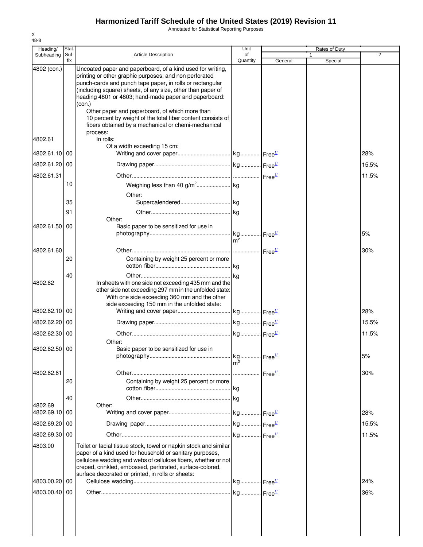Annotated for Statistical Reporting Purposes

| Heading/      | Stat.       |                                                                                                                                                                                                                                                                                                                     | Unit           |         | <b>Rates of Duty</b> |                |
|---------------|-------------|---------------------------------------------------------------------------------------------------------------------------------------------------------------------------------------------------------------------------------------------------------------------------------------------------------------------|----------------|---------|----------------------|----------------|
| Subheading    | Suf-<br>fix | <b>Article Description</b>                                                                                                                                                                                                                                                                                          | οf<br>Quantity | General | Special              | $\overline{2}$ |
| 4802 (con.)   |             | Uncoated paper and paperboard, of a kind used for writing,<br>printing or other graphic purposes, and non perforated<br>punch-cards and punch tape paper, in rolls or rectangular<br>(including square) sheets, of any size, other than paper of<br>heading 4801 or 4803; hand-made paper and paperboard:<br>(con.) |                |         |                      |                |
|               |             | Other paper and paperboard, of which more than<br>10 percent by weight of the total fiber content consists of<br>fibers obtained by a mechanical or chemi-mechanical<br>process:                                                                                                                                    |                |         |                      |                |
| 4802.61       |             | In rolls:<br>Of a width exceeding 15 cm:                                                                                                                                                                                                                                                                            |                |         |                      |                |
| 4802.61.10    | 00          |                                                                                                                                                                                                                                                                                                                     |                |         |                      | 28%            |
| 4802.61.20    | 00          |                                                                                                                                                                                                                                                                                                                     |                |         |                      | 15.5%          |
| 4802.61.31    |             |                                                                                                                                                                                                                                                                                                                     |                |         |                      | 11.5%          |
|               | 10          |                                                                                                                                                                                                                                                                                                                     |                |         |                      |                |
|               | 35          | Other:                                                                                                                                                                                                                                                                                                              |                |         |                      |                |
|               | 91          |                                                                                                                                                                                                                                                                                                                     |                |         |                      |                |
|               |             | Other:                                                                                                                                                                                                                                                                                                              |                |         |                      |                |
| 4802.61.50    | 00          | Basic paper to be sensitized for use in                                                                                                                                                                                                                                                                             |                |         |                      | 5%             |
|               |             |                                                                                                                                                                                                                                                                                                                     | m <sup>2</sup> |         |                      |                |
| 4802.61.60    |             |                                                                                                                                                                                                                                                                                                                     |                |         |                      | 30%            |
|               | 20          | Containing by weight 25 percent or more                                                                                                                                                                                                                                                                             |                |         |                      |                |
| 4802.62       | 40          | In sheets with one side not exceeding 435 mm and the<br>other side not exceeding 297 mm in the unfolded state:<br>With one side exceeding 360 mm and the other                                                                                                                                                      |                |         |                      |                |
| 4802.62.10    | 00          | side exceeding 150 mm in the unfolded state:                                                                                                                                                                                                                                                                        |                |         |                      | 28%            |
| 4802.62.20    | 00          |                                                                                                                                                                                                                                                                                                                     |                |         |                      | 15.5%          |
| 4802.62.30 00 |             |                                                                                                                                                                                                                                                                                                                     |                |         |                      | 11.5%          |
| 4802.62.50 00 |             | Other:<br>Basic paper to be sensitized for use in                                                                                                                                                                                                                                                                   |                |         |                      |                |
|               |             |                                                                                                                                                                                                                                                                                                                     | m <sup>2</sup> |         |                      | 5%             |
| 4802.62.61    |             |                                                                                                                                                                                                                                                                                                                     |                |         |                      | 30%            |
|               | 20          | Containing by weight 25 percent or more                                                                                                                                                                                                                                                                             |                |         |                      |                |
| 4802.69       | 40          | Other:                                                                                                                                                                                                                                                                                                              |                |         |                      |                |
| 4802.69.10 00 |             |                                                                                                                                                                                                                                                                                                                     |                |         |                      | 28%            |
| 4802.69.20    | 00          |                                                                                                                                                                                                                                                                                                                     |                |         |                      | 15.5%          |
| 4802.69.30 00 |             |                                                                                                                                                                                                                                                                                                                     |                |         |                      | 11.5%          |
| 4803.00       |             | Toilet or facial tissue stock, towel or napkin stock and similar                                                                                                                                                                                                                                                    |                |         |                      |                |
|               |             | paper of a kind used for household or sanitary purposes,<br>cellulose wadding and webs of cellulose fibers, whether or not<br>creped, crinkled, embossed, perforated, surface-colored,<br>surface decorated or printed, in rolls or sheets:                                                                         |                |         |                      |                |
| 4803.00.20    | 00          |                                                                                                                                                                                                                                                                                                                     |                |         |                      | 24%            |
| 4803.00.40 00 |             |                                                                                                                                                                                                                                                                                                                     |                |         |                      | 36%            |
|               |             |                                                                                                                                                                                                                                                                                                                     |                |         |                      |                |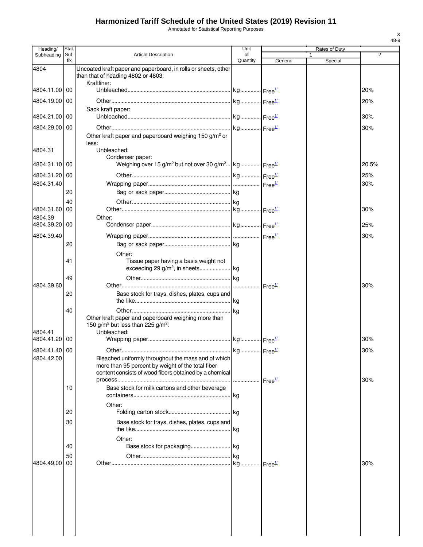Annotated for Statistical Reporting Purposes

| Heading/      | Stat.       |                                                                                                                                                                    | Unit           |                    |   | Rates of Duty |       |
|---------------|-------------|--------------------------------------------------------------------------------------------------------------------------------------------------------------------|----------------|--------------------|---|---------------|-------|
| Subheading    | Suf-<br>fix | <b>Article Description</b>                                                                                                                                         | of<br>Quantity | General            | 1 | Special       | 2     |
| 4804          |             | Uncoated kraft paper and paperboard, in rolls or sheets, other<br>than that of heading 4802 or 4803:                                                               |                |                    |   |               |       |
| 4804.11.00    | 00          | Kraftliner:                                                                                                                                                        |                |                    |   |               | 20%   |
| 4804.19.00 00 |             |                                                                                                                                                                    |                |                    |   |               | 20%   |
| 4804.21.00 00 |             | Sack kraft paper:                                                                                                                                                  |                |                    |   |               | 30%   |
| 4804.29.00 00 |             |                                                                                                                                                                    |                |                    |   |               | 30%   |
|               |             | Other kraft paper and paperboard weighing 150 g/m <sup>2</sup> or<br>less:                                                                                         |                |                    |   |               |       |
| 4804.31       |             | Unbleached:                                                                                                                                                        |                |                    |   |               |       |
| 4804.31.10 00 |             | Condenser paper:<br>Weighing over 15 g/m <sup>2</sup> but not over 30 g/m <sup>2</sup> kg Free <sup>1/1</sup>                                                      |                |                    |   |               | 20.5% |
| 4804.31.20 00 |             |                                                                                                                                                                    |                |                    |   |               | 25%   |
| 4804.31.40    |             |                                                                                                                                                                    |                |                    |   |               | 30%   |
|               | 20          |                                                                                                                                                                    |                |                    |   |               |       |
| 4804.31.60    | 40<br>00    |                                                                                                                                                                    |                |                    |   |               | 30%   |
| 4804.39       |             | Other:                                                                                                                                                             |                |                    |   |               |       |
| 4804.39.20    | 00          |                                                                                                                                                                    |                |                    |   |               | 25%   |
| 4804.39.40    |             |                                                                                                                                                                    |                |                    |   |               | 30%   |
|               | 20          |                                                                                                                                                                    |                |                    |   |               |       |
|               | 41          | Other:<br>Tissue paper having a basis weight not                                                                                                                   |                |                    |   |               |       |
|               | 49          |                                                                                                                                                                    |                |                    |   |               |       |
| 4804.39.60    |             |                                                                                                                                                                    |                | Free <sup>1/</sup> |   |               | 30%   |
|               | 20          | Base stock for trays, dishes, plates, cups and                                                                                                                     |                |                    |   |               |       |
| 4804.41       | 40          | Other kraft paper and paperboard weighing more than<br>150 g/m <sup>2</sup> but less than 225 g/m <sup>2</sup> :<br>Unbleached:                                    |                |                    |   |               |       |
| 4804.41.20 00 |             |                                                                                                                                                                    |                |                    |   |               | 30%   |
| 4804.41.40 00 |             |                                                                                                                                                                    |                |                    |   |               | 30%   |
| 4804.42.00    |             | Bleached uniformly throughout the mass and of which<br>more than 95 percent by weight of the total fiber<br>content consists of wood fibers obtained by a chemical |                | Free <sup>1/</sup> |   |               | 30%   |
|               | 10          | Base stock for milk cartons and other beverage                                                                                                                     |                |                    |   |               |       |
|               | 20          | Other:                                                                                                                                                             |                |                    |   |               |       |
|               | 30          | Base stock for trays, dishes, plates, cups and                                                                                                                     |                |                    |   |               |       |
|               |             | Other:                                                                                                                                                             |                |                    |   |               |       |
|               | 40          |                                                                                                                                                                    |                |                    |   |               |       |
|               | 50          |                                                                                                                                                                    |                |                    |   |               |       |
| 4804.49.00    | 00          |                                                                                                                                                                    |                |                    |   |               | 30%   |
|               |             |                                                                                                                                                                    |                |                    |   |               |       |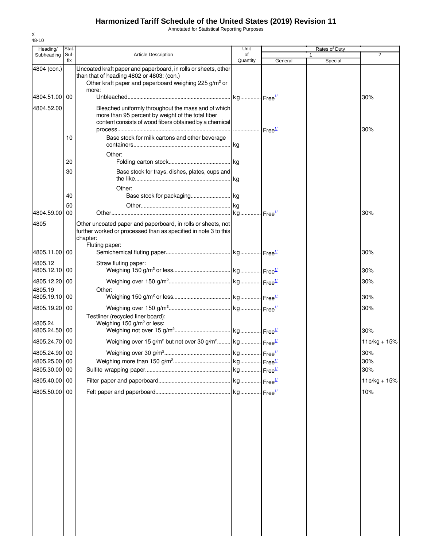Annotated for Statistical Reporting Purposes

| Heading/                 | Stat.       |                                                                                                                                                                                           | Unit           |         | Rates of Duty |                |
|--------------------------|-------------|-------------------------------------------------------------------------------------------------------------------------------------------------------------------------------------------|----------------|---------|---------------|----------------|
| Subheading               | Suf-<br>fix | <b>Article Description</b>                                                                                                                                                                | of<br>Quantity | General | 1<br>Special  | $\overline{2}$ |
| 4804 (con.)              |             | Uncoated kraft paper and paperboard, in rolls or sheets, other<br>than that of heading 4802 or 4803: (con.)<br>Other kraft paper and paperboard weighing 225 g/m <sup>2</sup> or<br>more: |                |         |               |                |
| 4804.51.00 00            |             |                                                                                                                                                                                           |                |         |               | 30%            |
| 4804.52.00               |             | Bleached uniformly throughout the mass and of which<br>more than 95 percent by weight of the total fiber<br>content consists of wood fibers obtained by a chemical                        |                |         |               | 30%            |
|                          | 10          | Base stock for milk cartons and other beverage                                                                                                                                            |                |         |               |                |
|                          | 20          | Other:                                                                                                                                                                                    |                |         |               |                |
|                          | 30          | Base stock for trays, dishes, plates, cups and                                                                                                                                            |                |         |               |                |
|                          |             | Other:                                                                                                                                                                                    |                |         |               |                |
|                          | 40          |                                                                                                                                                                                           |                |         |               |                |
|                          | 50          |                                                                                                                                                                                           |                |         |               |                |
| 4804.59.00<br>4805       | 00          | Other uncoated paper and paperboard, in rolls or sheets, not<br>further worked or processed than as specified in note 3 to this<br>chapter:                                               |                |         |               | 30%            |
|                          |             | Fluting paper:                                                                                                                                                                            |                |         |               |                |
| 4805.11.00 00            |             |                                                                                                                                                                                           |                |         |               | 30%            |
| 4805.12<br>4805.12.10 00 |             | Straw fluting paper:                                                                                                                                                                      |                |         |               | 30%            |
| 4805.12.20 00            |             |                                                                                                                                                                                           |                |         |               | 30%            |
| 4805.19<br>4805.19.10 00 |             | Other:                                                                                                                                                                                    |                |         |               | 30%            |
| 4805.19.20 00            |             |                                                                                                                                                                                           |                |         |               | 30%            |
| 4805.24<br>4805.24.50 00 |             | Testliner (recycled liner board):<br>Weighing 150 g/m <sup>2</sup> or less:                                                                                                               |                |         |               | 30%            |
| 4805.24.70 00            |             | Weighing over 15 g/m <sup>2</sup> but not over 30 g/m <sup>2</sup> kg Free <sup>1/</sup>                                                                                                  |                |         |               | $11¢/kg + 15%$ |
| 4805.24.90 00            |             |                                                                                                                                                                                           |                |         |               | 30%            |
| 4805.25.00 00            |             |                                                                                                                                                                                           |                |         |               | 30%            |
| 4805.30.00 00            |             |                                                                                                                                                                                           |                |         |               | 30%            |
| 4805.40.00 00            |             |                                                                                                                                                                                           |                |         |               | $11¢/kg + 15%$ |
| 4805.50.00 00            |             |                                                                                                                                                                                           |                |         |               | 10%            |
|                          |             |                                                                                                                                                                                           |                |         |               |                |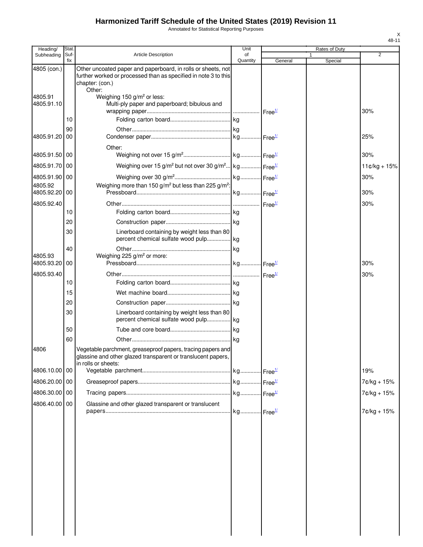Annotated for Statistical Reporting Purposes

| Heading/                 | Stat.       |                                                                                                                                                              | Unit           |         | Rates of Duty |                |
|--------------------------|-------------|--------------------------------------------------------------------------------------------------------------------------------------------------------------|----------------|---------|---------------|----------------|
| Subheading               | Suf-<br>fix | <b>Article Description</b>                                                                                                                                   | of<br>Quantity | General | 1<br>Special  | $\overline{2}$ |
| 4805 (con.)              |             | Other uncoated paper and paperboard, in rolls or sheets, not<br>further worked or processed than as specified in note 3 to this<br>chapter: (con.)<br>Other: |                |         |               |                |
| 4805.91<br>4805.91.10    |             | Weighing 150 g/m <sup>2</sup> or less:<br>Multi-ply paper and paperboard; bibulous and                                                                       |                |         |               | 30%            |
|                          | 10          |                                                                                                                                                              |                |         |               |                |
| 4805.91.20 00            | 90          |                                                                                                                                                              |                |         |               | 25%            |
| 4805.91.50 00            |             | Other:                                                                                                                                                       |                |         |               | 30%            |
| 4805.91.70 00            |             | Weighing over 15 g/m <sup>2</sup> but not over 30 g/m <sup>2</sup> kg Free <sup>1/</sup>                                                                     |                |         |               | $11¢/kg + 15%$ |
| 4805.91.90 00            |             |                                                                                                                                                              |                |         |               | 30%            |
| 4805.92<br>4805.92.20 00 |             | Weighing more than 150 g/m <sup>2</sup> but less than 225 g/m <sup>2</sup> :                                                                                 |                |         |               | 30%            |
| 4805.92.40               |             |                                                                                                                                                              |                |         |               | 30%            |
|                          | 10          |                                                                                                                                                              |                |         |               |                |
|                          | 20          |                                                                                                                                                              |                |         |               |                |
|                          | 30          | Linerboard containing by weight less than 80<br>percent chemical sulfate wood pulp kg                                                                        |                |         |               |                |
|                          | 40          |                                                                                                                                                              |                |         |               |                |
| 4805.93<br>4805.93.20 00 |             | Weighing 225 g/m <sup>2</sup> or more:                                                                                                                       |                |         |               | 30%            |
| 4805.93.40               |             |                                                                                                                                                              |                |         |               | 30%            |
|                          | 10          |                                                                                                                                                              |                |         |               |                |
|                          | 15          |                                                                                                                                                              |                |         |               |                |
|                          | 20          |                                                                                                                                                              |                |         |               |                |
|                          | 30          | Linerboard containing by weight less than 80                                                                                                                 |                |         |               |                |
|                          | 50          |                                                                                                                                                              |                |         |               |                |
|                          | 60          |                                                                                                                                                              |                |         |               |                |
| 4806                     |             | Vegetable parchment, greaseproof papers, tracing papers and<br>glassine and other glazed transparent or translucent papers,<br>in rolls or sheets:           |                |         |               |                |
| 4806.10.00 00            |             |                                                                                                                                                              |                |         |               | 19%            |
| 4806.20.00 00            |             |                                                                                                                                                              |                |         |               | 7¢/kg + 15%    |
| 4806.30.00 00            |             |                                                                                                                                                              |                |         |               | 7¢/kg + 15%    |
| 4806.40.00 00            |             | Glassine and other glazed transparent or translucent                                                                                                         |                |         |               | $7c/kg + 15%$  |
|                          |             |                                                                                                                                                              |                |         |               |                |
|                          |             |                                                                                                                                                              |                |         |               |                |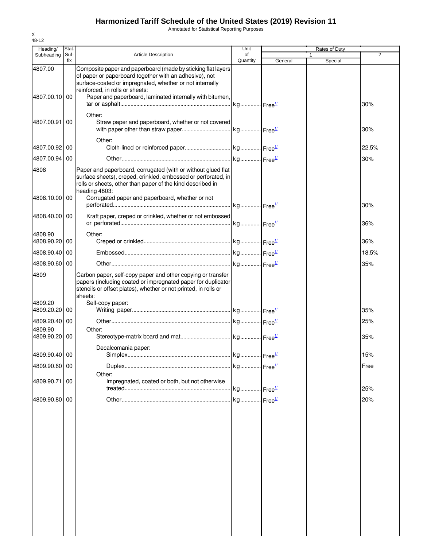Annotated for Statistical Reporting Purposes

| Heading/                 | <b>Stat</b> |                                                                                                                                                                                                                                                                                   | Unit           |         |              | Rates of Duty |       |
|--------------------------|-------------|-----------------------------------------------------------------------------------------------------------------------------------------------------------------------------------------------------------------------------------------------------------------------------------|----------------|---------|--------------|---------------|-------|
| Subheading               | Suf-<br>fix | <b>Article Description</b>                                                                                                                                                                                                                                                        | of<br>Quantity | General | $\mathbf{1}$ | Special       | 2     |
| 4807.00<br>4807.00.10 00 |             | Composite paper and paperboard (made by sticking flat layers<br>of paper or paperboard together with an adhesive), not<br>surface-coated or impregnated, whether or not internally<br>reinforced, in rolls or sheets:<br>Paper and paperboard, laminated internally with bitumen, |                |         |              |               |       |
|                          |             | Other:                                                                                                                                                                                                                                                                            |                |         |              |               | 30%   |
| 4807.00.91 00            |             | Straw paper and paperboard, whether or not covered<br>Other:                                                                                                                                                                                                                      |                |         |              |               | 30%   |
| 4807.00.92 00            |             |                                                                                                                                                                                                                                                                                   |                |         |              |               | 22.5% |
| 4807.00.94 00            |             |                                                                                                                                                                                                                                                                                   |                |         |              |               | 30%   |
| 4808<br>4808.10.00 00    |             | Paper and paperboard, corrugated (with or without glued flat<br>surface sheets), creped, crinkled, embossed or perforated, in<br>rolls or sheets, other than paper of the kind described in<br>heading 4803:<br>Corrugated paper and paperboard, whether or not                   |                |         |              |               |       |
|                          |             |                                                                                                                                                                                                                                                                                   |                |         |              |               | 30%   |
| 4808.40.00 00            |             | Kraft paper, creped or crinkled, whether or not embossed                                                                                                                                                                                                                          |                |         |              |               | 36%   |
| 4808.90<br>4808.90.20 00 |             | Other:                                                                                                                                                                                                                                                                            |                |         |              |               | 36%   |
| 4808.90.40               | 00          |                                                                                                                                                                                                                                                                                   |                |         |              |               | 18.5% |
| 4808.90.60 00            |             |                                                                                                                                                                                                                                                                                   |                |         |              |               | 35%   |
| 4809                     |             | Carbon paper, self-copy paper and other copying or transfer<br>papers (including coated or impregnated paper for duplicator<br>stencils or offset plates), whether or not printed, in rolls or<br>sheets:                                                                         |                |         |              |               |       |
| 4809.20<br>4809.20.20 00 |             | Self-copy paper:                                                                                                                                                                                                                                                                  |                |         |              |               | 35%   |
| 4809.20.40 00<br>4809.90 |             |                                                                                                                                                                                                                                                                                   |                |         |              |               | 25%   |
| 4809.90.20 00            |             | Other:                                                                                                                                                                                                                                                                            |                |         |              |               | 35%   |
| 4809.90.40 00            |             | Decalcomania paper:                                                                                                                                                                                                                                                               |                |         |              |               | 15%   |
| 4809.90.60 00            |             |                                                                                                                                                                                                                                                                                   |                |         |              |               | Free  |
| 4809.90.71 00            |             | Other:<br>Impregnated, coated or both, but not otherwise                                                                                                                                                                                                                          |                |         |              |               |       |
|                          |             |                                                                                                                                                                                                                                                                                   |                |         |              |               | 25%   |
| 4809.90.80 00            |             |                                                                                                                                                                                                                                                                                   |                |         |              |               | 20%   |
|                          |             |                                                                                                                                                                                                                                                                                   |                |         |              |               |       |
|                          |             |                                                                                                                                                                                                                                                                                   |                |         |              |               |       |
|                          |             |                                                                                                                                                                                                                                                                                   |                |         |              |               |       |
|                          |             |                                                                                                                                                                                                                                                                                   |                |         |              |               |       |
|                          |             |                                                                                                                                                                                                                                                                                   |                |         |              |               |       |
|                          |             |                                                                                                                                                                                                                                                                                   |                |         |              |               |       |
|                          |             |                                                                                                                                                                                                                                                                                   |                |         |              |               |       |
|                          |             |                                                                                                                                                                                                                                                                                   |                |         |              |               |       |
|                          |             |                                                                                                                                                                                                                                                                                   |                |         |              |               |       |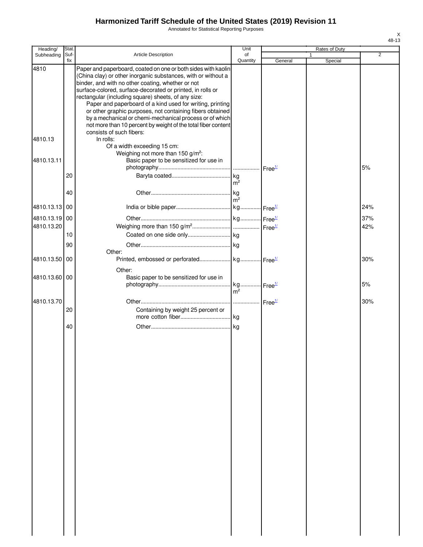Annotated for Statistical Reporting Purposes

| Heading/                    | Stat.       |                                                                                                                                                                                                                                                                                                                                                                                                                                                                                                                                                                                            | Unit           |         | Rates of Duty |            |
|-----------------------------|-------------|--------------------------------------------------------------------------------------------------------------------------------------------------------------------------------------------------------------------------------------------------------------------------------------------------------------------------------------------------------------------------------------------------------------------------------------------------------------------------------------------------------------------------------------------------------------------------------------------|----------------|---------|---------------|------------|
| Subheading                  | Suf-<br>fix | Article Description                                                                                                                                                                                                                                                                                                                                                                                                                                                                                                                                                                        | of<br>Quantity | General | 1<br>Special  | 2          |
| 4810                        |             | Paper and paperboard, coated on one or both sides with kaolin<br>(China clay) or other inorganic substances, with or without a<br>binder, and with no other coating, whether or not<br>surface-colored, surface-decorated or printed, in rolls or<br>rectangular (including square) sheets, of any size:<br>Paper and paperboard of a kind used for writing, printing<br>or other graphic purposes, not containing fibers obtained<br>by a mechanical or chemi-mechanical process or of which<br>not more than 10 percent by weight of the total fiber content<br>consists of such fibers: |                |         |               |            |
| 4810.13                     |             | In rolls:<br>Of a width exceeding 15 cm:<br>Weighing not more than 150 g/m <sup>2</sup> :                                                                                                                                                                                                                                                                                                                                                                                                                                                                                                  |                |         |               |            |
| 4810.13.11                  |             | Basic paper to be sensitized for use in                                                                                                                                                                                                                                                                                                                                                                                                                                                                                                                                                    |                |         |               | 5%         |
|                             | 20          |                                                                                                                                                                                                                                                                                                                                                                                                                                                                                                                                                                                            | m <sup>2</sup> |         |               |            |
|                             | 40          |                                                                                                                                                                                                                                                                                                                                                                                                                                                                                                                                                                                            | m <sup>2</sup> |         |               |            |
| 4810.13.13 00               |             |                                                                                                                                                                                                                                                                                                                                                                                                                                                                                                                                                                                            |                |         |               | 24%        |
| 4810.13.19 00<br>4810.13.20 |             |                                                                                                                                                                                                                                                                                                                                                                                                                                                                                                                                                                                            |                |         |               | 37%<br>42% |
|                             | 10<br>90    |                                                                                                                                                                                                                                                                                                                                                                                                                                                                                                                                                                                            |                |         |               |            |
| 4810.13.50 00               |             | Other:                                                                                                                                                                                                                                                                                                                                                                                                                                                                                                                                                                                     |                |         |               | 30%        |
| 4810.13.60 00               |             | Other:<br>Basic paper to be sensitized for use in                                                                                                                                                                                                                                                                                                                                                                                                                                                                                                                                          |                |         |               | 5%         |
| 4810.13.70                  | 20          | Containing by weight 25 percent or                                                                                                                                                                                                                                                                                                                                                                                                                                                                                                                                                         | m <sup>2</sup> |         |               | 30%        |
|                             | 40          |                                                                                                                                                                                                                                                                                                                                                                                                                                                                                                                                                                                            |                |         |               |            |
|                             |             |                                                                                                                                                                                                                                                                                                                                                                                                                                                                                                                                                                                            |                |         |               |            |
|                             |             |                                                                                                                                                                                                                                                                                                                                                                                                                                                                                                                                                                                            |                |         |               |            |
|                             |             |                                                                                                                                                                                                                                                                                                                                                                                                                                                                                                                                                                                            |                |         |               |            |
|                             |             |                                                                                                                                                                                                                                                                                                                                                                                                                                                                                                                                                                                            |                |         |               |            |
|                             |             |                                                                                                                                                                                                                                                                                                                                                                                                                                                                                                                                                                                            |                |         |               |            |
|                             |             |                                                                                                                                                                                                                                                                                                                                                                                                                                                                                                                                                                                            |                |         |               |            |
|                             |             |                                                                                                                                                                                                                                                                                                                                                                                                                                                                                                                                                                                            |                |         |               |            |
|                             |             |                                                                                                                                                                                                                                                                                                                                                                                                                                                                                                                                                                                            |                |         |               |            |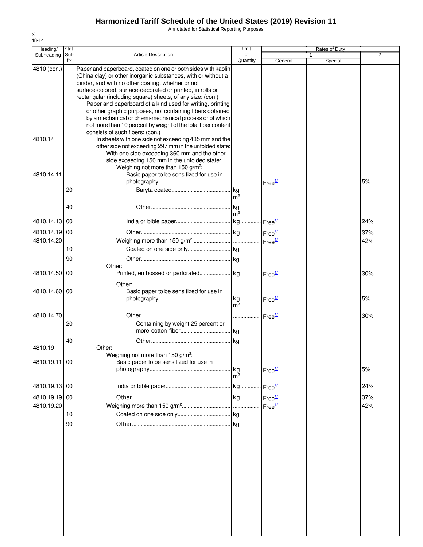Annotated for Statistical Reporting Purposes

| Heading/      | <b>Stat</b> |                                                                                                                                | Unit                                      |         | Rates of Duty |     |
|---------------|-------------|--------------------------------------------------------------------------------------------------------------------------------|-------------------------------------------|---------|---------------|-----|
| Subheading    | Suf-<br>fix | <b>Article Description</b>                                                                                                     | of                                        |         |               | 2   |
| 4810 (con.)   |             | Paper and paperboard, coated on one or both sides with kaolin<br>(China clay) or other inorganic substances, with or without a | Quantity                                  | General | Special       |     |
|               |             | binder, and with no other coating, whether or not                                                                              |                                           |         |               |     |
|               |             | surface-colored, surface-decorated or printed, in rolls or                                                                     |                                           |         |               |     |
|               |             | rectangular (including square) sheets, of any size: (con.)                                                                     |                                           |         |               |     |
|               |             | Paper and paperboard of a kind used for writing, printing<br>or other graphic purposes, not containing fibers obtained         |                                           |         |               |     |
|               |             | by a mechanical or chemi-mechanical process or of which                                                                        |                                           |         |               |     |
|               |             | not more than 10 percent by weight of the total fiber content                                                                  |                                           |         |               |     |
|               |             | consists of such fibers: (con.)                                                                                                |                                           |         |               |     |
| 4810.14       |             | In sheets with one side not exceeding 435 mm and the<br>other side not exceeding 297 mm in the unfolded state:                 |                                           |         |               |     |
|               |             | With one side exceeding 360 mm and the other                                                                                   |                                           |         |               |     |
|               |             | side exceeding 150 mm in the unfolded state:                                                                                   |                                           |         |               |     |
|               |             | Weighing not more than 150 g/m <sup>2</sup> :                                                                                  |                                           |         |               |     |
| 4810.14.11    |             | Basic paper to be sensitized for use in                                                                                        |                                           |         |               | 5%  |
|               | 20          |                                                                                                                                |                                           |         |               |     |
|               |             |                                                                                                                                | $\mathsf{Im}^2$                           |         |               |     |
|               | 40          |                                                                                                                                |                                           |         |               |     |
|               |             |                                                                                                                                | $\rm{m}^2$                                |         |               |     |
| 4810.14.13    | 00          |                                                                                                                                |                                           |         |               | 24% |
| 4810.14.19 00 |             |                                                                                                                                |                                           |         |               | 37% |
| 4810.14.20    |             |                                                                                                                                |                                           |         |               | 42% |
|               | 10          |                                                                                                                                |                                           |         |               |     |
|               | 90          |                                                                                                                                |                                           |         |               |     |
|               |             | Other:                                                                                                                         |                                           |         |               |     |
| 4810.14.50    | -00         |                                                                                                                                |                                           |         |               | 30% |
|               |             | Other:                                                                                                                         |                                           |         |               |     |
| 4810.14.60 00 |             | Basic paper to be sensitized for use in                                                                                        |                                           |         |               |     |
|               |             |                                                                                                                                | m <sup>2</sup>                            |         |               | 5%  |
|               |             |                                                                                                                                |                                           |         |               |     |
| 4810.14.70    | 20          |                                                                                                                                |                                           |         |               | 30% |
|               |             | Containing by weight 25 percent or                                                                                             |                                           |         |               |     |
|               | 40          |                                                                                                                                |                                           |         |               |     |
| 4810.19       |             | Other:                                                                                                                         |                                           |         |               |     |
|               |             | Weighing not more than 150 g/m <sup>2</sup> :                                                                                  |                                           |         |               |     |
| 4810.19.11 00 |             | Basic paper to be sensitized for use in                                                                                        |                                           |         |               |     |
|               |             |                                                                                                                                | . kg Free <sup>1/</sup><br>m <sup>2</sup> |         |               | 5%  |
|               |             |                                                                                                                                |                                           |         |               |     |
| 4810.19.13 00 |             |                                                                                                                                |                                           |         |               | 24% |
| 4810.19.19 00 |             |                                                                                                                                |                                           |         |               | 37% |
| 4810.19.20    |             |                                                                                                                                |                                           |         |               | 42% |
|               | 10          |                                                                                                                                |                                           |         |               |     |
|               | 90          |                                                                                                                                |                                           |         |               |     |
|               |             |                                                                                                                                |                                           |         |               |     |
|               |             |                                                                                                                                |                                           |         |               |     |
|               |             |                                                                                                                                |                                           |         |               |     |
|               |             |                                                                                                                                |                                           |         |               |     |
|               |             |                                                                                                                                |                                           |         |               |     |
|               |             |                                                                                                                                |                                           |         |               |     |
|               |             |                                                                                                                                |                                           |         |               |     |
|               |             |                                                                                                                                |                                           |         |               |     |
|               |             |                                                                                                                                |                                           |         |               |     |
|               |             |                                                                                                                                |                                           |         |               |     |
|               |             |                                                                                                                                |                                           |         |               |     |
|               |             |                                                                                                                                |                                           |         |               |     |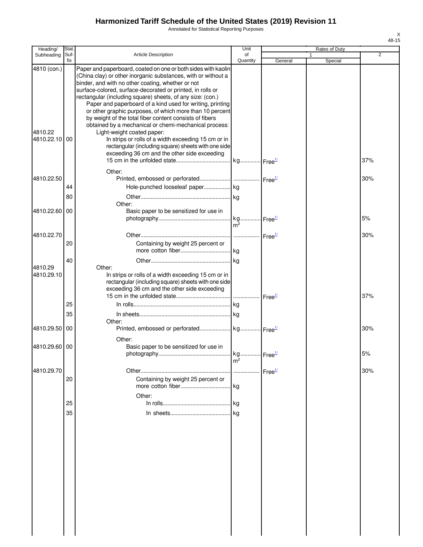Annotated for Statistical Reporting Purposes

| Heading/               | Stat.       |                                                                                                                                                                                                                                                                                                                                                                                                                                                                                                                                                                                            | Unit                  |                    | Rates of Duty |                |
|------------------------|-------------|--------------------------------------------------------------------------------------------------------------------------------------------------------------------------------------------------------------------------------------------------------------------------------------------------------------------------------------------------------------------------------------------------------------------------------------------------------------------------------------------------------------------------------------------------------------------------------------------|-----------------------|--------------------|---------------|----------------|
| Subheading             | Suf-<br>fix | <b>Article Description</b>                                                                                                                                                                                                                                                                                                                                                                                                                                                                                                                                                                 | of<br>Quantity        | General            | 1<br>Special  | $\overline{2}$ |
| 4810 (con.)<br>4810.22 |             | Paper and paperboard, coated on one or both sides with kaolin<br>(China clay) or other inorganic substances, with or without a<br>binder, and with no other coating, whether or not<br>surface-colored, surface-decorated or printed, in rolls or<br>rectangular (including square) sheets, of any size: (con.)<br>Paper and paperboard of a kind used for writing, printing<br>or other graphic purposes, of which more than 10 percent<br>by weight of the total fiber content consists of fibers<br>obtained by a mechanical or chemi-mechanical process:<br>Light-weight coated paper: |                       |                    |               |                |
| 4810.22.10 00          |             | In strips or rolls of a width exceeding 15 cm or in<br>rectangular (including square) sheets with one side<br>exceeding 36 cm and the other side exceeding                                                                                                                                                                                                                                                                                                                                                                                                                                 |                       |                    |               | 37%            |
| 4810.22.50             |             | Other:                                                                                                                                                                                                                                                                                                                                                                                                                                                                                                                                                                                     |                       |                    |               | 30%            |
|                        |             | Hole-punched looseleaf paper kg                                                                                                                                                                                                                                                                                                                                                                                                                                                                                                                                                            |                       |                    |               |                |
|                        | 44          |                                                                                                                                                                                                                                                                                                                                                                                                                                                                                                                                                                                            |                       |                    |               |                |
|                        | 80          |                                                                                                                                                                                                                                                                                                                                                                                                                                                                                                                                                                                            |                       |                    |               |                |
| 4810.22.60             | 00          | Other:<br>Basic paper to be sensitized for use in                                                                                                                                                                                                                                                                                                                                                                                                                                                                                                                                          |                       |                    |               | 5%             |
|                        |             |                                                                                                                                                                                                                                                                                                                                                                                                                                                                                                                                                                                            | $m^2$                 |                    |               |                |
| 4810.22.70             |             |                                                                                                                                                                                                                                                                                                                                                                                                                                                                                                                                                                                            |                       |                    |               | 30%            |
|                        | 20          | Containing by weight 25 percent or                                                                                                                                                                                                                                                                                                                                                                                                                                                                                                                                                         |                       |                    |               |                |
|                        |             |                                                                                                                                                                                                                                                                                                                                                                                                                                                                                                                                                                                            |                       |                    |               |                |
|                        | 40          |                                                                                                                                                                                                                                                                                                                                                                                                                                                                                                                                                                                            |                       |                    |               |                |
| 4810.29<br>4810.29.10  |             | Other:<br>In strips or rolls of a width exceeding 15 cm or in<br>rectangular (including square) sheets with one side<br>exceeding 36 cm and the other side exceeding                                                                                                                                                                                                                                                                                                                                                                                                                       |                       |                    |               | 37%            |
|                        | 25          |                                                                                                                                                                                                                                                                                                                                                                                                                                                                                                                                                                                            |                       |                    |               |                |
|                        |             |                                                                                                                                                                                                                                                                                                                                                                                                                                                                                                                                                                                            |                       |                    |               |                |
|                        | 35          | Other:                                                                                                                                                                                                                                                                                                                                                                                                                                                                                                                                                                                     |                       |                    |               |                |
| 4810.29.50 00          |             | Other:                                                                                                                                                                                                                                                                                                                                                                                                                                                                                                                                                                                     |                       |                    |               | 30%            |
| 4810.29.60 00          |             | Basic paper to be sensitized for use in                                                                                                                                                                                                                                                                                                                                                                                                                                                                                                                                                    | kg Free <sup>1/</sup> |                    |               | 5%             |
|                        |             |                                                                                                                                                                                                                                                                                                                                                                                                                                                                                                                                                                                            | m <sup>2</sup>        |                    |               |                |
| 4810.29.70             | 20          | Containing by weight 25 percent or                                                                                                                                                                                                                                                                                                                                                                                                                                                                                                                                                         |                       | Free <sup>1/</sup> |               | 30%            |
|                        |             | Other:                                                                                                                                                                                                                                                                                                                                                                                                                                                                                                                                                                                     |                       |                    |               |                |
|                        | 25          |                                                                                                                                                                                                                                                                                                                                                                                                                                                                                                                                                                                            |                       |                    |               |                |
|                        | 35          |                                                                                                                                                                                                                                                                                                                                                                                                                                                                                                                                                                                            | kg                    |                    |               |                |
|                        |             |                                                                                                                                                                                                                                                                                                                                                                                                                                                                                                                                                                                            |                       |                    |               |                |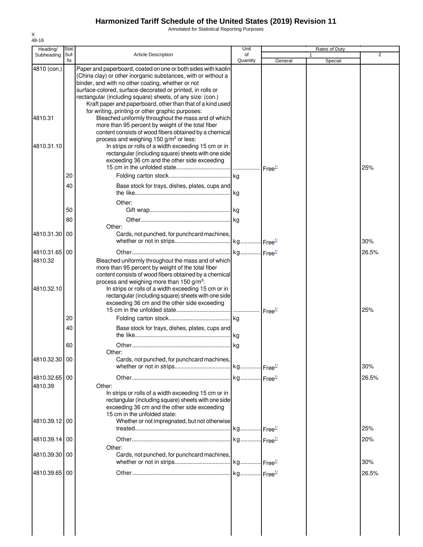Annotated for Statistical Reporting Purposes

| Heading/                 | Stat.       |                                                                                                                                                                                                                                                                                                                                                                               | Unit                  |         | Rates of Duty |                |
|--------------------------|-------------|-------------------------------------------------------------------------------------------------------------------------------------------------------------------------------------------------------------------------------------------------------------------------------------------------------------------------------------------------------------------------------|-----------------------|---------|---------------|----------------|
| Subheading               | Suf-<br>fix | <b>Article Description</b>                                                                                                                                                                                                                                                                                                                                                    | of<br>Quantity        | General | Special       | $\overline{2}$ |
| 4810 (con.)              |             | Paper and paperboard, coated on one or both sides with kaolin<br>(China clay) or other inorganic substances, with or without a<br>binder, and with no other coating, whether or not<br>surface-colored, surface-decorated or printed, in rolls or<br>rectangular (including square) sheets, of any size: (con.)<br>Kraft paper and paperboard, other than that of a kind used |                       |         |               |                |
| 4810.31                  |             | for writing, printing or other graphic purposes:<br>Bleached uniformly throughout the mass and of which<br>more than 95 percent by weight of the total fiber<br>content consists of wood fibers obtained by a chemical                                                                                                                                                        |                       |         |               |                |
| 4810.31.10               |             | process and weighing 150 g/m <sup>2</sup> or less:<br>In strips or rolls of a width exceeding 15 cm or in<br>rectangular (including square) sheets with one side<br>exceeding 36 cm and the other side exceeding                                                                                                                                                              |                       |         |               | 25%            |
|                          | 20          |                                                                                                                                                                                                                                                                                                                                                                               |                       |         |               |                |
|                          | 40          | Base stock for trays, dishes, plates, cups and                                                                                                                                                                                                                                                                                                                                |                       |         |               |                |
|                          |             |                                                                                                                                                                                                                                                                                                                                                                               | kg                    |         |               |                |
|                          |             | Other:                                                                                                                                                                                                                                                                                                                                                                        |                       |         |               |                |
|                          | 50          |                                                                                                                                                                                                                                                                                                                                                                               |                       |         |               |                |
|                          | 80          | Other:                                                                                                                                                                                                                                                                                                                                                                        | kg                    |         |               |                |
| 4810.31.30               | 00          | Cards, not punched, for punchcard machines,                                                                                                                                                                                                                                                                                                                                   |                       |         |               | 30%            |
|                          |             |                                                                                                                                                                                                                                                                                                                                                                               |                       |         |               |                |
| 4810.31.65 00<br>4810.32 |             | Bleached uniformly throughout the mass and of which                                                                                                                                                                                                                                                                                                                           |                       |         |               | 26.5%          |
| 4810.32.10               |             | more than 95 percent by weight of the total fiber<br>content consists of wood fibers obtained by a chemical<br>process and weighing more than 150 g/m <sup>2</sup> :<br>In strips or rolls of a width exceeding 15 cm or in<br>rectangular (including square) sheets with one side<br>exceeding 36 cm and the other side exceeding                                            |                       |         |               | 25%            |
|                          | 20          |                                                                                                                                                                                                                                                                                                                                                                               |                       |         |               |                |
|                          | 40          | Base stock for trays, dishes, plates, cups and                                                                                                                                                                                                                                                                                                                                |                       |         |               |                |
|                          | 60          |                                                                                                                                                                                                                                                                                                                                                                               |                       |         |               |                |
| 4810.32.30 00            |             | Other:<br>Cards, not punched, for punchcard machines,                                                                                                                                                                                                                                                                                                                         |                       |         |               | 30%            |
| 4810.32.65 00            |             |                                                                                                                                                                                                                                                                                                                                                                               |                       |         |               | 26.5%          |
| 4810.39                  |             | Other:<br>In strips or rolls of a width exceeding 15 cm or in<br>rectangular (including square) sheets with one side<br>exceeding 36 cm and the other side exceeding<br>15 cm in the unfolded state:                                                                                                                                                                          |                       |         |               |                |
| 4810.39.12 00            |             | Whether or not impregnated, but not otherwise                                                                                                                                                                                                                                                                                                                                 |                       |         |               | 25%            |
| 4810.39.14 00            |             |                                                                                                                                                                                                                                                                                                                                                                               | kg Free <sup>1/</sup> |         |               | 20%            |
| 4810.39.30 00            |             | Other:<br>Cards, not punched, for punchcard machines,                                                                                                                                                                                                                                                                                                                         |                       |         |               | 30%            |
| 4810.39.65 00            |             |                                                                                                                                                                                                                                                                                                                                                                               |                       |         |               | 26.5%          |
|                          |             |                                                                                                                                                                                                                                                                                                                                                                               |                       |         |               |                |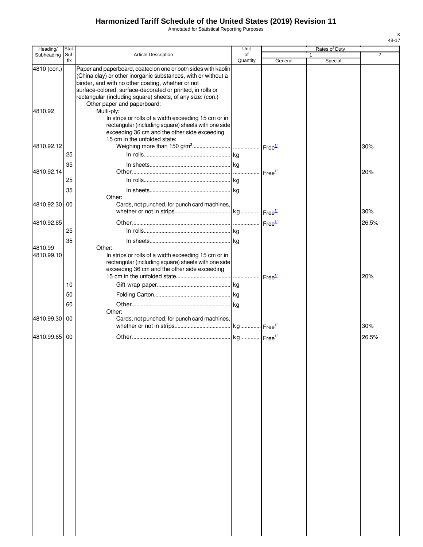Annotated for Statistical Reporting Purposes

| Heading/              | Stat.       |                                                                                                                                                                                                                                                                                                                 | Unit           |                    | Rates of Duty |                |
|-----------------------|-------------|-----------------------------------------------------------------------------------------------------------------------------------------------------------------------------------------------------------------------------------------------------------------------------------------------------------------|----------------|--------------------|---------------|----------------|
| Subheading            | Suf-<br>fix | Article Description                                                                                                                                                                                                                                                                                             | of<br>Quantity | General            | 1<br>Special  | $\overline{2}$ |
| 4810 (con.)           |             | Paper and paperboard, coated on one or both sides with kaolin<br>(China clay) or other inorganic substances, with or without a<br>binder, and with no other coating, whether or not<br>surface-colored, surface-decorated or printed, in rolls or<br>rectangular (including square) sheets, of any size: (con.) |                |                    |               |                |
| 4810.92               |             | Other paper and paperboard:<br>Multi-ply:<br>In strips or rolls of a width exceeding 15 cm or in<br>rectangular (including square) sheets with one side<br>exceeding 36 cm and the other side exceeding                                                                                                         |                |                    |               |                |
| 4810.92.12            | 25          | 15 cm in the unfolded state:                                                                                                                                                                                                                                                                                    |                |                    |               | 30%            |
|                       |             |                                                                                                                                                                                                                                                                                                                 |                |                    |               |                |
| 4810.92.14            | 35          |                                                                                                                                                                                                                                                                                                                 |                | Free <sup>1/</sup> |               | 20%            |
|                       | 25          |                                                                                                                                                                                                                                                                                                                 |                |                    |               |                |
|                       | 35          |                                                                                                                                                                                                                                                                                                                 |                |                    |               |                |
|                       |             | Other:                                                                                                                                                                                                                                                                                                          |                |                    |               |                |
| 4810.92.30            | 00          | Cards, not punched, for punch card machines,                                                                                                                                                                                                                                                                    |                |                    |               |                |
|                       |             |                                                                                                                                                                                                                                                                                                                 |                |                    |               | 30%            |
| 4810.92.65            |             |                                                                                                                                                                                                                                                                                                                 |                |                    |               | 26.5%          |
|                       | 25          |                                                                                                                                                                                                                                                                                                                 |                |                    |               |                |
|                       | 35          |                                                                                                                                                                                                                                                                                                                 |                |                    |               |                |
| 4810.99<br>4810.99.10 |             | Other:<br>In strips or rolls of a width exceeding 15 cm or in<br>rectangular (including square) sheets with one side<br>exceeding 36 cm and the other side exceeding                                                                                                                                            |                |                    |               |                |
|                       |             |                                                                                                                                                                                                                                                                                                                 |                | Free <sup>1/</sup> |               | 20%            |
|                       | 10          |                                                                                                                                                                                                                                                                                                                 |                |                    |               |                |
|                       | 50          |                                                                                                                                                                                                                                                                                                                 |                |                    |               |                |
|                       | 60          | Other:                                                                                                                                                                                                                                                                                                          |                |                    |               |                |
| 4810.99.30            | 00          | Cards, not punched, for punch card machines,                                                                                                                                                                                                                                                                    |                |                    |               | 30%            |
| 4810.99.65 00         |             |                                                                                                                                                                                                                                                                                                                 |                |                    |               | 26.5%          |
|                       |             |                                                                                                                                                                                                                                                                                                                 |                |                    |               |                |
|                       |             |                                                                                                                                                                                                                                                                                                                 |                |                    |               |                |
|                       |             |                                                                                                                                                                                                                                                                                                                 |                |                    |               |                |
|                       |             |                                                                                                                                                                                                                                                                                                                 |                |                    |               |                |
|                       |             |                                                                                                                                                                                                                                                                                                                 |                |                    |               |                |
|                       |             |                                                                                                                                                                                                                                                                                                                 |                |                    |               |                |
|                       |             |                                                                                                                                                                                                                                                                                                                 |                |                    |               |                |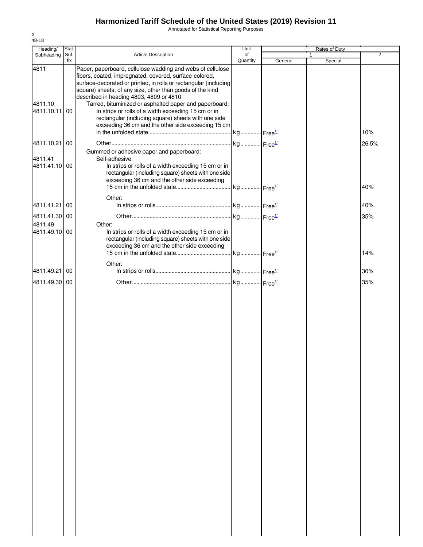Annotated for Statistical Reporting Purposes

| Heading/                      | Stat.       |                                                                                                                                                                                                                                                                                                                                                                                                                                                                                                                                 | Unit                  |         | Rates of Duty |                |
|-------------------------------|-------------|---------------------------------------------------------------------------------------------------------------------------------------------------------------------------------------------------------------------------------------------------------------------------------------------------------------------------------------------------------------------------------------------------------------------------------------------------------------------------------------------------------------------------------|-----------------------|---------|---------------|----------------|
| Subheading                    | Suf-<br>fix | Article Description                                                                                                                                                                                                                                                                                                                                                                                                                                                                                                             | of<br>Quantity        | General | 1<br>Special  | $\overline{2}$ |
| 4811<br>4811.10<br>4811.10.11 | 00          | Paper, paperboard, cellulose wadding and webs of cellulose<br>fibers, coated, impregnated, covered, surface-colored,<br>surface-decorated or printed, in rolls or rectangular (including<br>square) sheets, of any size, other than goods of the kind<br>described in heading 4803, 4809 or 4810:<br>Tarred, bituminized or asphalted paper and paperboard:<br>In strips or rolls of a width exceeding 15 cm or in<br>rectangular (including square) sheets with one side<br>exceeding 36 cm and the other side exceeding 15 cm | kg Free <sup>1/</sup> |         |               | 10%            |
| 4811.10.21                    | 00          |                                                                                                                                                                                                                                                                                                                                                                                                                                                                                                                                 |                       |         |               | 26.5%          |
| 4811.41<br>4811.41.10 00      |             | Gummed or adhesive paper and paperboard:<br>Self-adhesive:<br>In strips or rolls of a width exceeding 15 cm or in<br>rectangular (including square) sheets with one side<br>exceeding 36 cm and the other side exceeding                                                                                                                                                                                                                                                                                                        |                       |         |               | 40%            |
|                               |             | Other:                                                                                                                                                                                                                                                                                                                                                                                                                                                                                                                          |                       |         |               |                |
| 4811.41.21                    | 00          |                                                                                                                                                                                                                                                                                                                                                                                                                                                                                                                                 |                       |         |               | 40%            |
| 4811.41.30 00                 |             |                                                                                                                                                                                                                                                                                                                                                                                                                                                                                                                                 |                       |         |               | 35%            |
| 4811.49<br>4811.49.10 00      |             | Other:<br>In strips or rolls of a width exceeding 15 cm or in<br>rectangular (including square) sheets with one side<br>exceeding 36 cm and the other side exceeding                                                                                                                                                                                                                                                                                                                                                            |                       |         |               | 14%            |
|                               |             | Other:                                                                                                                                                                                                                                                                                                                                                                                                                                                                                                                          |                       |         |               |                |
| 4811.49.21                    | 00          |                                                                                                                                                                                                                                                                                                                                                                                                                                                                                                                                 |                       |         |               | 30%            |
| 4811.49.30 00                 |             |                                                                                                                                                                                                                                                                                                                                                                                                                                                                                                                                 |                       |         |               | 35%            |
|                               |             |                                                                                                                                                                                                                                                                                                                                                                                                                                                                                                                                 |                       |         |               |                |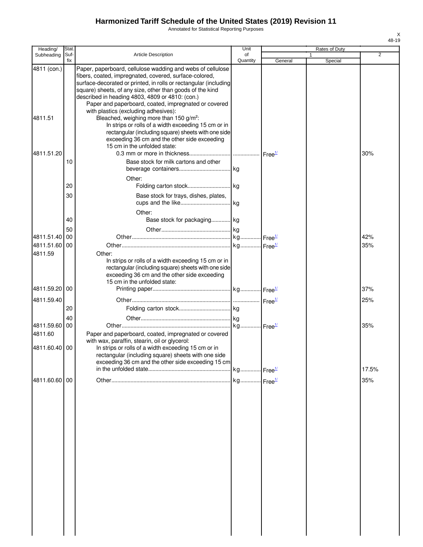Annotated for Statistical Reporting Purposes

| Heading/                 | Stat.       |                                                                                                                                                                                                                                                                                                                                                                  | Unit     |         | Rates of Duty |                |
|--------------------------|-------------|------------------------------------------------------------------------------------------------------------------------------------------------------------------------------------------------------------------------------------------------------------------------------------------------------------------------------------------------------------------|----------|---------|---------------|----------------|
| Subheading               | Suf-<br>fix | <b>Article Description</b>                                                                                                                                                                                                                                                                                                                                       | of       |         |               | $\overline{2}$ |
| 4811 (con.)              |             | Paper, paperboard, cellulose wadding and webs of cellulose<br>fibers, coated, impregnated, covered, surface-colored,<br>surface-decorated or printed, in rolls or rectangular (including<br>square) sheets, of any size, other than goods of the kind<br>described in heading 4803, 4809 or 4810: (con.)<br>Paper and paperboard, coated, impregnated or covered | Quantity | General | Special       |                |
| 4811.51                  |             | with plastics (excluding adhesives):<br>Bleached, weighing more than 150 g/m <sup>2</sup> :<br>In strips or rolls of a width exceeding 15 cm or in<br>rectangular (including square) sheets with one side<br>exceeding 36 cm and the other side exceeding<br>15 cm in the unfolded state:                                                                        |          |         |               |                |
| 4811.51.20               | 10          | Base stock for milk cartons and other                                                                                                                                                                                                                                                                                                                            |          |         |               | 30%            |
|                          | 20          | Other:                                                                                                                                                                                                                                                                                                                                                           |          |         |               |                |
|                          | 30          | Base stock for trays, dishes, plates,<br>Other:                                                                                                                                                                                                                                                                                                                  |          |         |               |                |
|                          | 40<br>50    | Base stock for packaging kg                                                                                                                                                                                                                                                                                                                                      |          |         |               |                |
| 4811.51.40 00            |             |                                                                                                                                                                                                                                                                                                                                                                  |          |         |               | 42%            |
| 4811.51.60 00            |             |                                                                                                                                                                                                                                                                                                                                                                  |          |         |               | 35%            |
| 4811.59<br>4811.59.20 00 |             | Other:<br>In strips or rolls of a width exceeding 15 cm or in<br>rectangular (including square) sheets with one side<br>exceeding 36 cm and the other side exceeding<br>15 cm in the unfolded state:                                                                                                                                                             |          |         |               | 37%            |
|                          |             |                                                                                                                                                                                                                                                                                                                                                                  |          |         |               |                |
| 4811.59.40               | 20          |                                                                                                                                                                                                                                                                                                                                                                  |          |         |               | 25%            |
| 4811.59.60 00<br>4811.60 | 40          | Paper and paperboard, coated, impregnated or covered<br>with wax, paraffin, stearin, oil or glycerol:                                                                                                                                                                                                                                                            |          |         |               | 35%            |
| 4811.60.40 00            |             | In strips or rolls of a width exceeding 15 cm or in<br>rectangular (including square) sheets with one side<br>exceeding 36 cm and the other side exceeding 15 cm                                                                                                                                                                                                 |          |         |               |                |
|                          |             |                                                                                                                                                                                                                                                                                                                                                                  |          |         |               | 17.5%          |
| 4811.60.60 00            |             |                                                                                                                                                                                                                                                                                                                                                                  |          |         |               | 35%            |
|                          |             |                                                                                                                                                                                                                                                                                                                                                                  |          |         |               |                |
|                          |             |                                                                                                                                                                                                                                                                                                                                                                  |          |         |               |                |
|                          |             |                                                                                                                                                                                                                                                                                                                                                                  |          |         |               |                |
|                          |             |                                                                                                                                                                                                                                                                                                                                                                  |          |         |               |                |
|                          |             |                                                                                                                                                                                                                                                                                                                                                                  |          |         |               |                |
|                          |             |                                                                                                                                                                                                                                                                                                                                                                  |          |         |               |                |
|                          |             |                                                                                                                                                                                                                                                                                                                                                                  |          |         |               |                |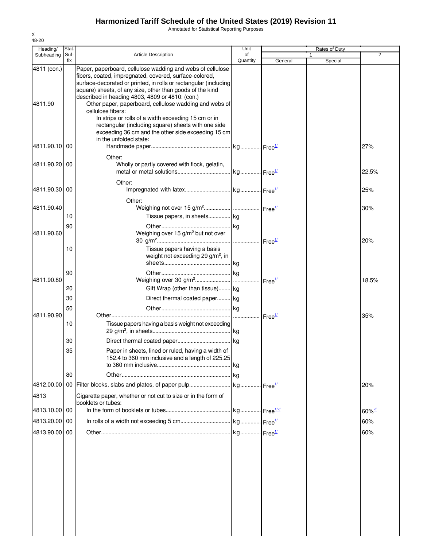Annotated for Statistical Reporting Purposes

| Heading/               | Stat.          |                                                                                                                                                                                                                                                                                                                                                                                                                                                                                                                                                             | Unit           |         | Rates of Duty | $\overline{2}$              |
|------------------------|----------------|-------------------------------------------------------------------------------------------------------------------------------------------------------------------------------------------------------------------------------------------------------------------------------------------------------------------------------------------------------------------------------------------------------------------------------------------------------------------------------------------------------------------------------------------------------------|----------------|---------|---------------|-----------------------------|
| Subheading             | Suf-<br>fix    | <b>Article Description</b>                                                                                                                                                                                                                                                                                                                                                                                                                                                                                                                                  | of<br>Quantity | General | 1<br>Special  |                             |
| 4811 (con.)<br>4811.90 |                | Paper, paperboard, cellulose wadding and webs of cellulose<br>fibers, coated, impregnated, covered, surface-colored,<br>surface-decorated or printed, in rolls or rectangular (including<br>square) sheets, of any size, other than goods of the kind<br>described in heading 4803, 4809 or 4810: (con.)<br>Other paper, paperboard, cellulose wadding and webs of<br>cellulose fibers:<br>In strips or rolls of a width exceeding 15 cm or in<br>rectangular (including square) sheets with one side<br>exceeding 36 cm and the other side exceeding 15 cm |                |         |               |                             |
| 4811.90.10 00          |                | in the unfolded state:                                                                                                                                                                                                                                                                                                                                                                                                                                                                                                                                      |                |         |               | 27%                         |
| 4811.90.20 00          |                | Other:<br>Wholly or partly covered with flock, gelatin,                                                                                                                                                                                                                                                                                                                                                                                                                                                                                                     |                |         |               | 22.5%                       |
| 4811.90.30 00          |                | Other:                                                                                                                                                                                                                                                                                                                                                                                                                                                                                                                                                      |                |         |               | 25%                         |
| 4811.90.40             | 10             | Other:<br>Tissue papers, in sheets kg                                                                                                                                                                                                                                                                                                                                                                                                                                                                                                                       |                |         |               | 30%                         |
| 4811.90.60             | 90             | Weighing over 15 g/m <sup>2</sup> but not over                                                                                                                                                                                                                                                                                                                                                                                                                                                                                                              |                |         |               | 20%                         |
|                        | 10             | Tissue papers having a basis<br>weight not exceeding 29 g/m <sup>2</sup> , in                                                                                                                                                                                                                                                                                                                                                                                                                                                                               |                |         |               |                             |
| 4811.90.80             | 90<br>20       | Gift Wrap (other than tissue) kg                                                                                                                                                                                                                                                                                                                                                                                                                                                                                                                            |                |         |               | 18.5%                       |
|                        | 30<br>50       | Direct thermal coated paper kg                                                                                                                                                                                                                                                                                                                                                                                                                                                                                                                              |                |         |               |                             |
| 4811.90.90             | 10             | Tissue papers having a basis weight not exceeding                                                                                                                                                                                                                                                                                                                                                                                                                                                                                                           |                |         |               | 35%                         |
|                        | 30<br>35<br>80 | Paper in sheets, lined or ruled, having a width of<br>152.4 to 360 mm inclusive and a length of 225.25                                                                                                                                                                                                                                                                                                                                                                                                                                                      | . kg<br>.lkg   |         |               |                             |
| 4813                   |                | Cigarette paper, whether or not cut to size or in the form of                                                                                                                                                                                                                                                                                                                                                                                                                                                                                               |                |         |               | 20%                         |
| 4813.10.00 00          |                | booklets or tubes:                                                                                                                                                                                                                                                                                                                                                                                                                                                                                                                                          |                |         |               |                             |
| 4813.20.00 00          |                |                                                                                                                                                                                                                                                                                                                                                                                                                                                                                                                                                             |                |         |               | $60\%$ <sup>2/</sup><br>60% |
| 4813.90.00 00          |                |                                                                                                                                                                                                                                                                                                                                                                                                                                                                                                                                                             |                |         |               | 60%                         |
|                        |                |                                                                                                                                                                                                                                                                                                                                                                                                                                                                                                                                                             |                |         |               |                             |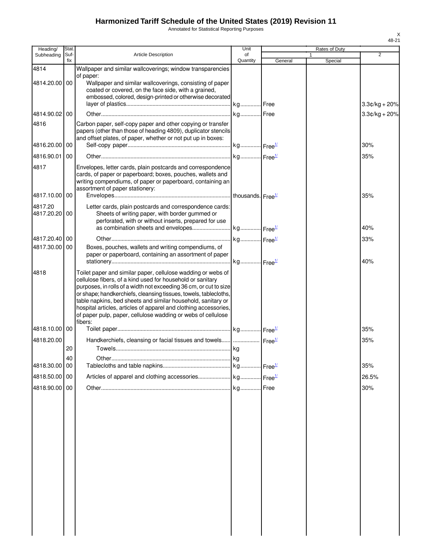Annotated for Statistical Reporting Purposes

| Heading/                 | Stat.       |                                                                                                                                                                                                                                                                                                                                                                                                                                                                                    | Unit           |         | Rates of Duty |                 |
|--------------------------|-------------|------------------------------------------------------------------------------------------------------------------------------------------------------------------------------------------------------------------------------------------------------------------------------------------------------------------------------------------------------------------------------------------------------------------------------------------------------------------------------------|----------------|---------|---------------|-----------------|
| Subheading               | Suf-<br>fix | <b>Article Description</b>                                                                                                                                                                                                                                                                                                                                                                                                                                                         | of<br>Quantity | General | Special       | $\overline{2}$  |
| 4814                     |             | Wallpaper and similar wallcoverings; window transparencies                                                                                                                                                                                                                                                                                                                                                                                                                         |                |         |               |                 |
| 4814.20.00 00            |             | of paper:<br>Wallpaper and similar wallcoverings, consisting of paper<br>coated or covered, on the face side, with a grained,<br>embossed, colored, design-printed or otherwise decorated                                                                                                                                                                                                                                                                                          |                |         |               | $3.3¢/kg + 20%$ |
| 4814.90.02 00            |             |                                                                                                                                                                                                                                                                                                                                                                                                                                                                                    |                |         |               | $3.3¢/kg + 20%$ |
| 4816                     |             | Carbon paper, self-copy paper and other copying or transfer<br>papers (other than those of heading 4809), duplicator stencils<br>and offset plates, of paper, whether or not put up in boxes:                                                                                                                                                                                                                                                                                      |                |         |               |                 |
| 4816.20.00 00            |             |                                                                                                                                                                                                                                                                                                                                                                                                                                                                                    |                |         |               | 30%             |
| 4816.90.01               | 00          |                                                                                                                                                                                                                                                                                                                                                                                                                                                                                    |                |         |               | 35%             |
| 4817                     |             | Envelopes, letter cards, plain postcards and correspondence<br>cards, of paper or paperboard; boxes, pouches, wallets and<br>writing compendiums, of paper or paperboard, containing an<br>assortment of paper stationery:                                                                                                                                                                                                                                                         |                |         |               |                 |
| 4817.10.00 00            |             |                                                                                                                                                                                                                                                                                                                                                                                                                                                                                    |                |         |               | 35%             |
| 4817.20<br>4817.20.20 00 |             | Letter cards, plain postcards and correspondence cards:<br>Sheets of writing paper, with border gummed or<br>perforated, with or without inserts, prepared for use                                                                                                                                                                                                                                                                                                                 |                |         |               | 40%             |
| 4817.20.40 00            |             |                                                                                                                                                                                                                                                                                                                                                                                                                                                                                    |                |         |               | 33%             |
| 4817.30.00 00            |             | Boxes, pouches, wallets and writing compendiums, of<br>paper or paperboard, containing an assortment of paper                                                                                                                                                                                                                                                                                                                                                                      |                |         |               | 40%             |
| 4818                     |             | Toilet paper and similar paper, cellulose wadding or webs of<br>cellulose fibers, of a kind used for household or sanitary<br>purposes, in rolls of a width not exceeding 36 cm, or cut to size<br>or shape; handkerchiefs, cleansing tissues, towels, tablecloths,<br>table napkins, bed sheets and similar household, sanitary or<br>hospital articles, articles of apparel and clothing accessories,<br>of paper pulp, paper, cellulose wadding or webs of cellulose<br>fibers: |                |         |               |                 |
| 4818.10.00 00            |             |                                                                                                                                                                                                                                                                                                                                                                                                                                                                                    |                |         |               | 35%             |
| 4818.20.00               | 20          | Handkerchiefs, cleansing or facial tissues and towels  Free <sup>1/</sup>                                                                                                                                                                                                                                                                                                                                                                                                          |                |         |               | 35%             |
|                          | 40          |                                                                                                                                                                                                                                                                                                                                                                                                                                                                                    |                |         |               |                 |
| 4818.30.00               | 00          |                                                                                                                                                                                                                                                                                                                                                                                                                                                                                    |                |         |               | 35%             |
| 4818.50.00 00            |             |                                                                                                                                                                                                                                                                                                                                                                                                                                                                                    |                |         |               | 26.5%           |
| 4818.90.00 00            |             |                                                                                                                                                                                                                                                                                                                                                                                                                                                                                    |                |         |               | 30%             |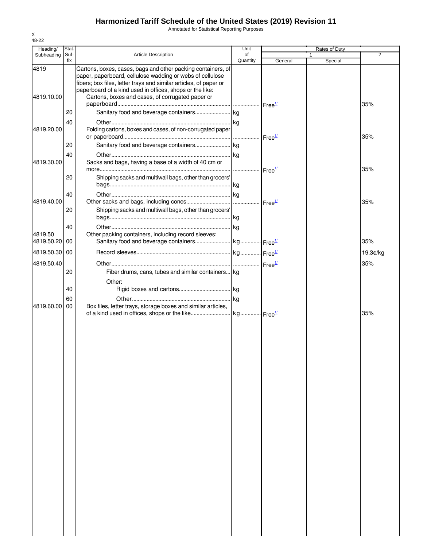Annotated for Statistical Reporting Purposes

| Heading/      | Stat.       |                                                                   | Unit           |                    | Rates of Duty |                |
|---------------|-------------|-------------------------------------------------------------------|----------------|--------------------|---------------|----------------|
| Subheading    | Suf-<br>fix | Article Description                                               | of<br>Quantity | General            | Special       | $\overline{2}$ |
| 4819          |             | Cartons, boxes, cases, bags and other packing containers, of      |                |                    |               |                |
|               |             | paper, paperboard, cellulose wadding or webs of cellulose         |                |                    |               |                |
|               |             | fibers; box files, letter trays and similar articles, of paper or |                |                    |               |                |
|               |             | paperboard of a kind used in offices, shops or the like:          |                |                    |               |                |
| 4819.10.00    |             | Cartons, boxes and cases, of corrugated paper or                  |                |                    |               |                |
|               |             |                                                                   |                |                    |               | 35%            |
|               | 20          |                                                                   |                |                    |               |                |
|               | 40          |                                                                   |                |                    |               |                |
| 4819.20.00    |             | Folding cartons, boxes and cases, of non-corrugated paper         |                |                    |               |                |
|               |             |                                                                   |                | Free <sup>1/</sup> |               | 35%            |
|               | 20          |                                                                   |                |                    |               |                |
|               | 40          |                                                                   |                |                    |               |                |
| 4819.30.00    |             | Sacks and bags, having a base of a width of 40 cm or              |                |                    |               |                |
|               |             |                                                                   |                | Free <sup>1/</sup> |               | 35%            |
|               | 20          | Shipping sacks and multiwall bags, other than grocers'            |                |                    |               |                |
|               |             |                                                                   |                |                    |               |                |
|               | 40          |                                                                   |                |                    |               |                |
| 4819.40.00    |             |                                                                   |                | Free <sup>1/</sup> |               | 35%            |
|               | 20          | Shipping sacks and multiwall bags, other than grocers'            |                |                    |               |                |
|               |             |                                                                   |                |                    |               |                |
|               | 40          |                                                                   | kg             |                    |               |                |
| 4819.50       |             | Other packing containers, including record sleeves:               |                |                    |               |                |
| 4819.50.20 00 |             |                                                                   |                |                    |               | 35%            |
|               |             |                                                                   |                |                    |               |                |
| 4819.50.30 00 |             |                                                                   |                |                    |               | 19.3¢/kg       |
| 4819.50.40    |             |                                                                   |                |                    |               | 35%            |
|               | 20          | Fiber drums, cans, tubes and similar containers kg                |                |                    |               |                |
|               |             | Other:                                                            |                |                    |               |                |
|               | 40          |                                                                   |                |                    |               |                |
|               |             |                                                                   |                |                    |               |                |
| 4819.60.00    | 60<br>00    | Box files, letter trays, storage boxes and similar articles,      |                |                    |               |                |
|               |             |                                                                   |                |                    |               | 35%            |
|               |             |                                                                   |                |                    |               |                |
|               |             |                                                                   |                |                    |               |                |
|               |             |                                                                   |                |                    |               |                |
|               |             |                                                                   |                |                    |               |                |
|               |             |                                                                   |                |                    |               |                |
|               |             |                                                                   |                |                    |               |                |
|               |             |                                                                   |                |                    |               |                |
|               |             |                                                                   |                |                    |               |                |
|               |             |                                                                   |                |                    |               |                |
|               |             |                                                                   |                |                    |               |                |
|               |             |                                                                   |                |                    |               |                |
|               |             |                                                                   |                |                    |               |                |
|               |             |                                                                   |                |                    |               |                |
|               |             |                                                                   |                |                    |               |                |
|               |             |                                                                   |                |                    |               |                |
|               |             |                                                                   |                |                    |               |                |
|               |             |                                                                   |                |                    |               |                |
|               |             |                                                                   |                |                    |               |                |
|               |             |                                                                   |                |                    |               |                |
|               |             |                                                                   |                |                    |               |                |
|               |             |                                                                   |                |                    |               |                |
|               |             |                                                                   |                |                    |               |                |
|               |             |                                                                   |                |                    |               |                |
|               |             |                                                                   |                |                    |               |                |
|               |             |                                                                   |                |                    |               |                |
|               |             |                                                                   |                |                    |               |                |
|               |             |                                                                   |                |                    |               |                |
|               |             |                                                                   |                |                    |               |                |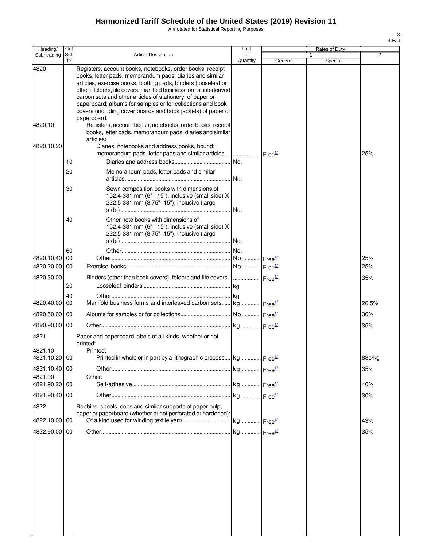Annotated for Statistical Reporting Purposes

| Heading/        | Stat.       |                                                                                                                                                                                                                                                                                                                                                                                                                                                          | Unit           |         | Rates of Duty |                |
|-----------------|-------------|----------------------------------------------------------------------------------------------------------------------------------------------------------------------------------------------------------------------------------------------------------------------------------------------------------------------------------------------------------------------------------------------------------------------------------------------------------|----------------|---------|---------------|----------------|
| Subheading      | Suf-<br>fix | <b>Article Description</b>                                                                                                                                                                                                                                                                                                                                                                                                                               | οf<br>Quantity | General | 1<br>Special  | $\overline{2}$ |
| 4820            |             | Registers, account books, notebooks, order books, receipt<br>books, letter pads, memorandum pads, diaries and similar<br>articles, exercise books, blotting pads, binders (looseleaf or<br>other), folders, file covers, manifold business forms, interleaved<br>carbon sets and other articles of stationery, of paper or<br>paperboard; albums for samples or for collections and book<br>covers (including cover boards and book jackets) of paper or |                |         |               |                |
| 4820.10         |             | paperboard:<br>Registers, account books, notebooks, order books, receipt<br>books, letter pads, memorandum pads, diaries and similar<br>articles:                                                                                                                                                                                                                                                                                                        |                |         |               |                |
| 4820.10.20      |             | Diaries, notebooks and address books, bound;<br>memorandum pads, letter pads and similar articles    Free <sup>1/</sup>                                                                                                                                                                                                                                                                                                                                  |                |         |               | 25%            |
|                 | 10          |                                                                                                                                                                                                                                                                                                                                                                                                                                                          | No.            |         |               |                |
|                 | 20          | Memorandum pads, letter pads and similar                                                                                                                                                                                                                                                                                                                                                                                                                 |                |         |               |                |
|                 | 30          | Sewn composition books with dimensions of<br>152.4-381 mm (6" - 15"), inclusive (small side) X<br>222.5-381 mm (8.75" -15"), inclusive (large                                                                                                                                                                                                                                                                                                            |                |         |               |                |
|                 | 40          | Other note books with dimensions of<br>152.4-381 mm (6" - 15"), inclusive (small side) X<br>222.5-381 mm (8.75" -15"), inclusive (large                                                                                                                                                                                                                                                                                                                  |                |         |               |                |
|                 | 60          |                                                                                                                                                                                                                                                                                                                                                                                                                                                          |                |         |               |                |
| 4820.10.40      | 00          |                                                                                                                                                                                                                                                                                                                                                                                                                                                          |                |         |               | 25%            |
| 4820.20.00 00   |             |                                                                                                                                                                                                                                                                                                                                                                                                                                                          |                |         |               | 25%            |
| 4820.30.00      | 20          | Binders (other than book covers), folders and file covers $\vert$ $\vert$ Free $\frac{1}{2}$                                                                                                                                                                                                                                                                                                                                                             |                |         |               | 35%            |
|                 | 40          |                                                                                                                                                                                                                                                                                                                                                                                                                                                          |                |         |               |                |
| 4820.40.00      | 00          | Manifold business forms and interleaved carbon sets kg Free <sup>1/</sup>                                                                                                                                                                                                                                                                                                                                                                                |                |         |               | 26.5%          |
| 4820.50.00 00   |             |                                                                                                                                                                                                                                                                                                                                                                                                                                                          |                |         |               | 30%            |
| 4820.90.00      | 00          |                                                                                                                                                                                                                                                                                                                                                                                                                                                          |                |         |               | 35%            |
| 4821<br>4821.10 |             | Paper and paperboard labels of all kinds, whether or not<br>printed:<br>Printed:                                                                                                                                                                                                                                                                                                                                                                         |                |         |               |                |
| 4821.10.20 00   |             | Printed in whole or in part by a lithographic process kg Free <sup>14</sup>                                                                                                                                                                                                                                                                                                                                                                              |                |         |               | 88¢/kg         |
| 4821.10.40 00   |             |                                                                                                                                                                                                                                                                                                                                                                                                                                                          |                |         |               | 35%            |
| 4821.90         |             | Other:                                                                                                                                                                                                                                                                                                                                                                                                                                                   |                |         |               |                |
| 4821.90.20      | 00          |                                                                                                                                                                                                                                                                                                                                                                                                                                                          |                |         |               | 40%            |
| 4821.90.40 00   |             |                                                                                                                                                                                                                                                                                                                                                                                                                                                          |                |         |               | 30%            |
| 4822            |             | Bobbins, spools, cops and similar supports of paper pulp,                                                                                                                                                                                                                                                                                                                                                                                                |                |         |               |                |
| 4822.10.00 00   |             | paper or paperboard (whether or not perforated or hardened):                                                                                                                                                                                                                                                                                                                                                                                             |                |         |               | 43%            |
| 4822.90.00      | 00          |                                                                                                                                                                                                                                                                                                                                                                                                                                                          |                |         |               | 35%            |
|                 |             |                                                                                                                                                                                                                                                                                                                                                                                                                                                          |                |         |               |                |
|                 |             |                                                                                                                                                                                                                                                                                                                                                                                                                                                          |                |         |               |                |
|                 |             |                                                                                                                                                                                                                                                                                                                                                                                                                                                          |                |         |               |                |
|                 |             |                                                                                                                                                                                                                                                                                                                                                                                                                                                          |                |         |               |                |
|                 |             |                                                                                                                                                                                                                                                                                                                                                                                                                                                          |                |         |               |                |
|                 |             |                                                                                                                                                                                                                                                                                                                                                                                                                                                          |                |         |               |                |
|                 |             |                                                                                                                                                                                                                                                                                                                                                                                                                                                          |                |         |               |                |
|                 |             |                                                                                                                                                                                                                                                                                                                                                                                                                                                          |                |         |               |                |
|                 |             |                                                                                                                                                                                                                                                                                                                                                                                                                                                          |                |         |               |                |
|                 |             |                                                                                                                                                                                                                                                                                                                                                                                                                                                          |                |         |               |                |
|                 |             |                                                                                                                                                                                                                                                                                                                                                                                                                                                          |                |         |               |                |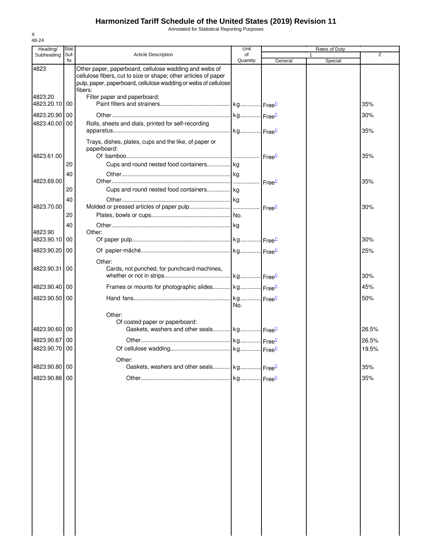Annotated for Statistical Reporting Purposes

| Heading/                 | Stat |                                                                                                                           | Unit                           |                            | Rates of Duty |                |
|--------------------------|------|---------------------------------------------------------------------------------------------------------------------------|--------------------------------|----------------------------|---------------|----------------|
| Subheading               | Suf- | Article Description                                                                                                       | of                             |                            |               | $\overline{2}$ |
| 4823                     | fix  | Other paper, paperboard, cellulose wadding and webs of<br>cellulose fibers, cut to size or shape; other articles of paper | Quantity                       | General                    | Special       |                |
|                          |      | pulp, paper, paperboard, cellulose wadding or webs of cellulose<br>fibers:                                                |                                |                            |               |                |
| 4823.20<br>4823.20.10 00 |      | Filter paper and paperboard:                                                                                              |                                |                            |               | 35%            |
| 4823.20.90               | 00   |                                                                                                                           |                                |                            |               | 30%            |
| 4823.40.00               | 00   | Rolls, sheets and dials, printed for self-recording                                                                       |                                |                            |               | 35%            |
|                          |      | Trays, dishes, plates, cups and the like, of paper or<br>paperboard:                                                      |                                |                            |               |                |
| 4823.61.00               |      |                                                                                                                           |                                |                            |               | 35%            |
|                          | 20   |                                                                                                                           |                                |                            |               |                |
| 4823.69.00               | 40   |                                                                                                                           |                                | $\cdot$ Free <sup>1/</sup> |               | 35%            |
|                          | 20   | Cups and round nested food containers kg                                                                                  |                                |                            |               |                |
| 4823.70.00               | 40   |                                                                                                                           |                                |                            |               | 30%            |
|                          | 20   |                                                                                                                           |                                |                            |               |                |
|                          | 40   |                                                                                                                           |                                |                            |               |                |
| 4823.90                  |      | Other:                                                                                                                    |                                |                            |               |                |
| 4823.90.10               | 00   |                                                                                                                           |                                |                            |               | 30%            |
| 4823.90.20               | 00   |                                                                                                                           |                                |                            |               | 25%            |
| 4823.90.31               | 00   | Other:<br>Cards, not punched, for punchcard machines,                                                                     |                                |                            |               | 30%            |
|                          |      |                                                                                                                           |                                |                            |               |                |
| 4823.90.40 00            |      | Frames or mounts for photographic slides kg Free <sup>1/</sup>                                                            |                                |                            |               | 45%            |
| 4823.90.50 00            |      |                                                                                                                           | . kg Free <sup>1/</sup><br>No. |                            |               | 50%            |
|                          |      | Other:                                                                                                                    |                                |                            |               |                |
| 4823.90.60 00            |      | Of coated paper or paperboard:<br>Gaskets, washers and other seals kg Free <sup>1/</sup>                                  |                                |                            |               | 26.5%          |
| 4823.90.67 00            |      |                                                                                                                           |                                |                            |               | 26.5%          |
| 4823.90.70 00            |      |                                                                                                                           |                                |                            |               | 19.5%          |
|                          |      | Other:                                                                                                                    |                                |                            |               |                |
| 4823.90.80 00            |      | Gaskets, washers and other seals kg Free <sup>1/</sup>                                                                    |                                |                            |               | 35%            |
| 4823.90.86 00            |      |                                                                                                                           |                                |                            |               | 35%            |
|                          |      |                                                                                                                           |                                |                            |               |                |
|                          |      |                                                                                                                           |                                |                            |               |                |
|                          |      |                                                                                                                           |                                |                            |               |                |
|                          |      |                                                                                                                           |                                |                            |               |                |
|                          |      |                                                                                                                           |                                |                            |               |                |
|                          |      |                                                                                                                           |                                |                            |               |                |
|                          |      |                                                                                                                           |                                |                            |               |                |
|                          |      |                                                                                                                           |                                |                            |               |                |
|                          |      |                                                                                                                           |                                |                            |               |                |
|                          |      |                                                                                                                           |                                |                            |               |                |
|                          |      |                                                                                                                           |                                |                            |               |                |
|                          |      |                                                                                                                           |                                |                            |               |                |
|                          |      |                                                                                                                           |                                |                            |               |                |